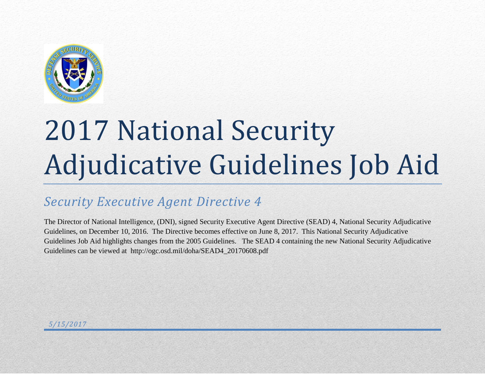

## *Security Executive Agent Directive 4*

The Director of National Intelligence, (DNI), signed Security Executive Agent Directive (SEAD) 4, National Security Adjudicative Guidelines, on December 10, 2016. The Directive becomes effective on June 8, 2017. This National Security Adjudicative Guidelines Job Aid highlights changes from the 2005 Guidelines. The SEAD 4 containing the new National Security Adjudicative Guidelines can be viewed at http://ogc.osd.mil/doha/SEAD4\_20170608.pdf

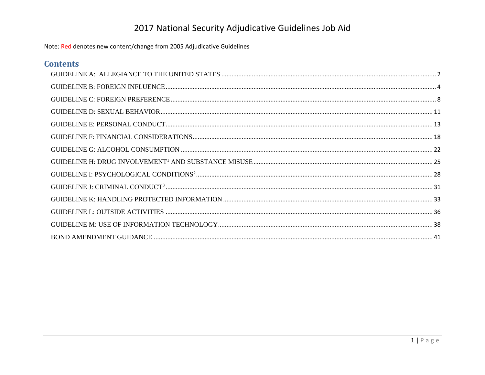| <b>Contents</b> |  |
|-----------------|--|
|                 |  |
|                 |  |
|                 |  |
|                 |  |
|                 |  |
|                 |  |
|                 |  |
|                 |  |
|                 |  |
|                 |  |
|                 |  |
|                 |  |
|                 |  |
|                 |  |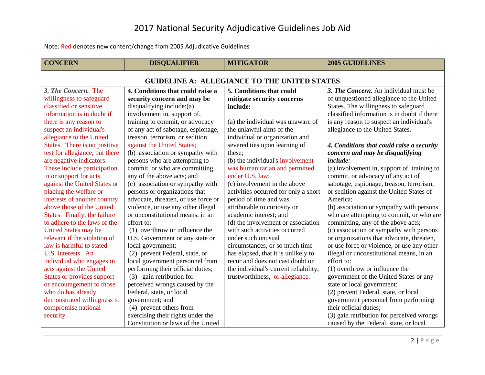<span id="page-2-0"></span>

| <b>CONCERN</b>                                      | <b>DISQUALIFIER</b>                 | <b>MITIGATOR</b>                      | <b>2005 GUIDELINES</b>                      |
|-----------------------------------------------------|-------------------------------------|---------------------------------------|---------------------------------------------|
| <b>GUIDELINE A: ALLEGIANCE TO THE UNITED STATES</b> |                                     |                                       |                                             |
| 3. The Concern. The                                 | 4. Conditions that could raise a    | 5. Conditions that could              | 3. The Concern. An individual must be       |
| willingness to safeguard                            | security concern and may be         | mitigate security concerns            | of unquestioned allegiance to the United    |
| classified or sensitive                             | disqualifying include:(a)           | include:                              | States. The willingness to safeguard        |
| information is in doubt if                          | involvement in, support of,         |                                       | classified information is in doubt if there |
| there is any reason to                              | training to commit, or advocacy     | (a) the individual was unaware of     | is any reason to suspect an individual's    |
| suspect an individual's                             | of any act of sabotage, espionage,  | the unlawful aims of the              | allegiance to the United States.            |
| allegiance to the United                            | treason, terrorism, or sedition     | individual or organization and        |                                             |
| States. There is no positive                        | against the United States;          | severed ties upon learning of         | 4. Conditions that could raise a security   |
| test for allegiance, but there                      | (b) association or sympathy with    | these:                                | concern and may be disqualifying            |
| are negative indicators.                            | persons who are attempting to       | (b) the individual's involvement      | include:                                    |
| These include participation                         | commit, or who are committing,      | was humanitarian and permitted        | (a) involvement in, support of, training to |
| in or support for acts                              | any of the above acts; and          | under U.S. law;                       | commit, or advocacy of any act of           |
| against the United States or                        | (c) association or sympathy with    | (c) involvement in the above          | sabotage, espionage, treason, terrorism,    |
| placing the welfare or                              | persons or organizations that       | activities occurred for only a short  | or sedition against the United States of    |
| interests of another country                        | advocate, threaten, or use force or | period of time and was                | America:                                    |
| above those of the United                           | violence, or use any other illegal  | attributable to curiosity or          | (b) association or sympathy with persons    |
| States. Finally, the failure                        | or unconstitutional means, in an    | academic interest; and                | who are attempting to commit, or who are    |
| to adhere to the laws of the                        | effort to:                          | (d) the involvement or association    | committing, any of the above acts;          |
| United States may be                                | (1) overthrow or influence the      | with such activities occurred         | (c) association or sympathy with persons    |
| relevant if the violation of                        | U.S. Government or any state or     | under such unusual                    | or organizations that advocate, threaten,   |
| law is harmful to stated                            | local government;                   | circumstances, or so much time        | or use force or violence, or use any other  |
| U.S. interests. An                                  | (2) prevent Federal, state, or      | has elapsed, that it is unlikely to   | illegal or unconstitutional means, in an    |
| individual who engages in                           | local government personnel from     | recur and does not cast doubt on      | effort to:                                  |
| acts against the United                             | performing their official duties;   | the individual's current reliability, | (1) overthrow or influence the              |
| States or provides support                          | (3) gain retribution for            | trustworthiness, or allegiance.       | government of the United States or any      |
| or encouragement to those                           | perceived wrongs caused by the      |                                       | state or local government;                  |
| who do has already                                  | Federal, state, or local            |                                       | (2) prevent Federal, state, or local        |
| demonstrated willingness to                         | government; and                     |                                       | government personnel from performing        |
| compromise national                                 | (4) prevent others from             |                                       | their official duties;                      |
| security.                                           | exercising their rights under the   |                                       | (3) gain retribution for perceived wrongs   |
|                                                     | Constitution or laws of the United  |                                       | caused by the Federal, state, or local      |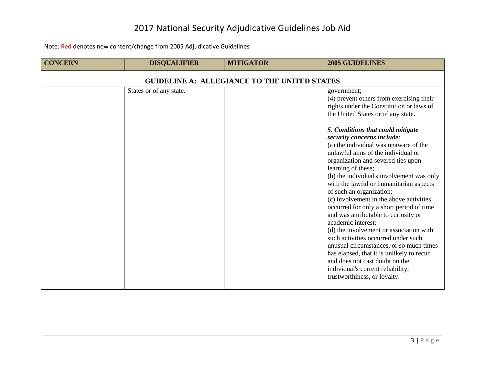| <b>CONCERN</b>                                      | <b>DISQUALIFIER</b>     | <b>MITIGATOR</b> | <b>2005 GUIDELINES</b>                                                                                                                                                                                                                                                                                                                                                                                                                                                                                                                                                                                                                                                                                                                                                                                                                                                                                            |
|-----------------------------------------------------|-------------------------|------------------|-------------------------------------------------------------------------------------------------------------------------------------------------------------------------------------------------------------------------------------------------------------------------------------------------------------------------------------------------------------------------------------------------------------------------------------------------------------------------------------------------------------------------------------------------------------------------------------------------------------------------------------------------------------------------------------------------------------------------------------------------------------------------------------------------------------------------------------------------------------------------------------------------------------------|
| <b>GUIDELINE A: ALLEGIANCE TO THE UNITED STATES</b> |                         |                  |                                                                                                                                                                                                                                                                                                                                                                                                                                                                                                                                                                                                                                                                                                                                                                                                                                                                                                                   |
|                                                     | States or of any state. |                  | government;<br>(4) prevent others from exercising their<br>rights under the Constitution or laws of<br>the United States or of any state.<br>5. Conditions that could mitigate<br>security concerns include:<br>(a) the individual was unaware of the<br>unlawful aims of the individual or<br>organization and severed ties upon<br>learning of these;<br>(b) the individual's involvement was only<br>with the lawful or humanitarian aspects<br>of such an organization;<br>(c) involvement in the above activities<br>occurred for only a short period of time<br>and was attributable to curiosity or<br>academic interest;<br>(d) the involvement or association with<br>such activities occurred under such<br>unusual circumstances, or so much times<br>has elapsed, that it is unlikely to recur<br>and does not cast doubt on the<br>individual's current reliability,<br>trustworthiness, or loyalty. |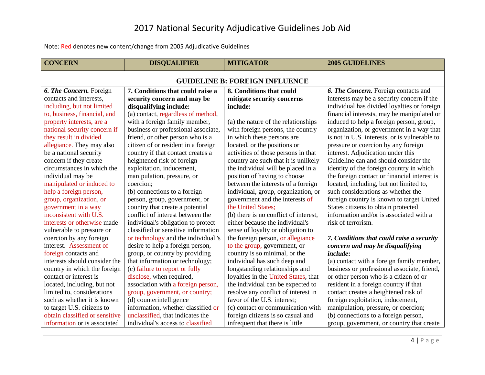<span id="page-4-0"></span>

| <b>CONCERN</b>                        | <b>DISQUALIFIER</b>                 | <b>MITIGATOR</b>                      | <b>2005 GUIDELINES</b>                        |
|---------------------------------------|-------------------------------------|---------------------------------------|-----------------------------------------------|
| <b>GUIDELINE B: FOREIGN INFLUENCE</b> |                                     |                                       |                                               |
| 6. The Concern. Foreign               | 7. Conditions that could raise a    | 8. Conditions that could              | 6. The Concern. Foreign contacts and          |
| contacts and interests,               | security concern and may be         | mitigate security concerns            | interests may be a security concern if the    |
| including, but not limited            | disqualifying include:              | include:                              | individual has divided loyalties or foreign   |
| to, business, financial, and          | (a) contact, regardless of method,  |                                       | financial interests, may be manipulated or    |
| property interests, are a             | with a foreign family member,       | (a) the nature of the relationships   | induced to help a foreign person, group,      |
| national security concern if          | business or professional associate, | with foreign persons, the country     | organization, or government in a way that     |
| they result in divided                | friend, or other person who is a    | in which these persons are            | is not in U.S. interests, or is vulnerable to |
| allegiance. They may also             | citizen of or resident in a foreign | located, or the positions or          | pressure or coercion by any foreign           |
| be a national security                | country if that contact creates a   | activities of those persons in that   | interest. Adjudication under this             |
| concern if they create                | heightened risk of foreign          | country are such that it is unlikely  | Guideline can and should consider the         |
| circumstances in which the            | exploitation, inducement,           | the individual will be placed in a    | identity of the foreign country in which      |
| individual may be                     | manipulation, pressure, or          | position of having to choose          | the foreign contact or financial interest is  |
| manipulated or induced to             | coercion;                           | between the interests of a foreign    | located, including, but not limited to,       |
| help a foreign person,                | (b) connections to a foreign        | individual, group, organization, or   | such considerations as whether the            |
| group, organization, or               | person, group, government, or       | government and the interests of       | foreign country is known to target United     |
| government in a way                   | country that create a potential     | the United States;                    | States citizens to obtain protected           |
| inconsistent with U.S.                | conflict of interest between the    | (b) there is no conflict of interest, | information and/or is associated with a       |
| interests or otherwise made           | individual's obligation to protect  | either because the individual's       | risk of terrorism.                            |
| vulnerable to pressure or             | classified or sensitive information | sense of loyalty or obligation to     |                                               |
| coercion by any foreign               | or technology and the individual 's | the foreign person, or allegiance     | 7. Conditions that could raise a security     |
| interest. Assessment of               | desire to help a foreign person,    | to the group, government, or          | concern and may be disqualifying              |
| foreign contacts and                  | group, or country by providing      | country is so minimal, or the         | <i>include:</i>                               |
| interests should consider the         | that information or technology;     | individual has such deep and          | (a) contact with a foreign family member,     |
| country in which the foreign          | (c) failure to report or fully      | longstanding relationships and        | business or professional associate, friend,   |
| contact or interest is                | disclose, when required,            | loyalties in the United States, that  | or other person who is a citizen of or        |
| located, including, but not           | association with a foreign person,  | the individual can be expected to     | resident in a foreign country if that         |
| limited to, considerations            | group, government, or country;      | resolve any conflict of interest in   | contact creates a heightened risk of          |
| such as whether it is known           | (d) counterintelligence             | favor of the U.S. interest;           | foreign exploitation, inducement,             |
| to target U.S. citizens to            | information, whether classified or  | (c) contact or communication with     | manipulation, pressure, or coercion;          |
| obtain classified or sensitive        | unclassified, that indicates the    | foreign citizens is so casual and     | (b) connections to a foreign person,          |
| information or is associated          | individual's access to classified   | infrequent that there is little       | group, government, or country that create     |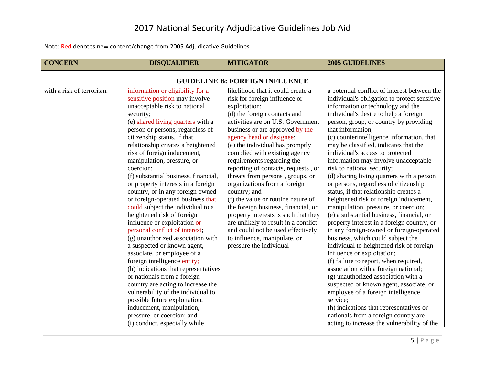| <b>CONCERN</b>                        | <b>DISQUALIFIER</b>                  | <b>MITIGATOR</b>                     | <b>2005 GUIDELINES</b>                       |  |
|---------------------------------------|--------------------------------------|--------------------------------------|----------------------------------------------|--|
| <b>GUIDELINE B: FOREIGN INFLUENCE</b> |                                      |                                      |                                              |  |
| with a risk of terrorism.             | information or eligibility for a     | likelihood that it could create a    | a potential conflict of interest between the |  |
|                                       | sensitive position may involve       | risk for foreign influence or        | individual's obligation to protect sensitive |  |
|                                       | unacceptable risk to national        | exploitation;                        | information or technology and the            |  |
|                                       | security;                            | (d) the foreign contacts and         | individual's desire to help a foreign        |  |
|                                       | (e) shared living quarters with a    | activities are on U.S. Government    | person, group, or country by providing       |  |
|                                       | person or persons, regardless of     | business or are approved by the      | that information;                            |  |
|                                       | citizenship status, if that          | agency head or designee;             | (c) counterintelligence information, that    |  |
|                                       | relationship creates a heightened    | (e) the individual has promptly      | may be classified, indicates that the        |  |
|                                       | risk of foreign inducement,          | complied with existing agency        | individual's access to protected             |  |
|                                       | manipulation, pressure, or           | requirements regarding the           | information may involve unacceptable         |  |
|                                       | coercion;                            | reporting of contacts, requests, or  | risk to national security;                   |  |
|                                       | (f) substantial business, financial, | threats from persons, groups, or     | (d) sharing living quarters with a person    |  |
|                                       | or property interests in a foreign   | organizations from a foreign         | or persons, regardless of citizenship        |  |
|                                       | country, or in any foreign owned     | country; and                         | status, if that relationship creates a       |  |
|                                       | or foreign-operated business that    | (f) the value or routine nature of   | heightened risk of foreign inducement,       |  |
|                                       | could subject the individual to a    | the foreign business, financial, or  | manipulation, pressure, or coercion;         |  |
|                                       | heightened risk of foreign           | property interests is such that they | (e) a substantial business, financial, or    |  |
|                                       | influence or exploitation or         | are unlikely to result in a conflict | property interest in a foreign country, or   |  |
|                                       | personal conflict of interest;       | and could not be used effectively    | in any foreign-owned or foreign-operated     |  |
|                                       | (g) unauthorized association with    | to influence, manipulate, or         | business, which could subject the            |  |
|                                       | a suspected or known agent,          | pressure the individual              | individual to heightened risk of foreign     |  |
|                                       | associate, or employee of a          |                                      | influence or exploitation;                   |  |
|                                       | foreign intelligence entity;         |                                      | (f) failure to report, when required,        |  |
|                                       | (h) indications that representatives |                                      | association with a foreign national;         |  |
|                                       | or nationals from a foreign          |                                      | (g) unauthorized association with a          |  |
|                                       | country are acting to increase the   |                                      | suspected or known agent, associate, or      |  |
|                                       | vulnerability of the individual to   |                                      | employee of a foreign intelligence           |  |
|                                       | possible future exploitation,        |                                      | service;                                     |  |
|                                       | inducement, manipulation,            |                                      | (h) indications that representatives or      |  |
|                                       | pressure, or coercion; and           |                                      | nationals from a foreign country are         |  |
|                                       | (i) conduct, especially while        |                                      | acting to increase the vulnerability of the  |  |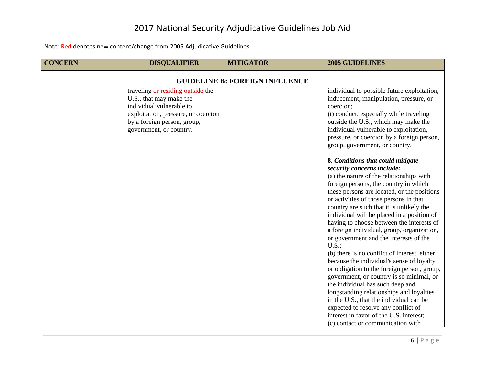| <b>CONCERN</b>                        | <b>DISQUALIFIER</b>                                                                                                                                                                       | <b>MITIGATOR</b> | <b>2005 GUIDELINES</b>                                                                                                                                                                                                                                                                                                                                                                                                                                                                                                                                                                                                                                                                                                                                                                                                                                                                                                                                                                                                                                                                                                                                                                                                                            |
|---------------------------------------|-------------------------------------------------------------------------------------------------------------------------------------------------------------------------------------------|------------------|---------------------------------------------------------------------------------------------------------------------------------------------------------------------------------------------------------------------------------------------------------------------------------------------------------------------------------------------------------------------------------------------------------------------------------------------------------------------------------------------------------------------------------------------------------------------------------------------------------------------------------------------------------------------------------------------------------------------------------------------------------------------------------------------------------------------------------------------------------------------------------------------------------------------------------------------------------------------------------------------------------------------------------------------------------------------------------------------------------------------------------------------------------------------------------------------------------------------------------------------------|
| <b>GUIDELINE B: FOREIGN INFLUENCE</b> |                                                                                                                                                                                           |                  |                                                                                                                                                                                                                                                                                                                                                                                                                                                                                                                                                                                                                                                                                                                                                                                                                                                                                                                                                                                                                                                                                                                                                                                                                                                   |
|                                       | traveling or residing outside the<br>U.S., that may make the<br>individual vulnerable to<br>exploitation, pressure, or coercion<br>by a foreign person, group,<br>government, or country. |                  | individual to possible future exploitation,<br>inducement, manipulation, pressure, or<br>coercion;<br>(i) conduct, especially while traveling<br>outside the U.S., which may make the<br>individual vulnerable to exploitation,<br>pressure, or coercion by a foreign person,<br>group, government, or country.<br>8. Conditions that could mitigate<br>security concerns include:<br>(a) the nature of the relationships with<br>foreign persons, the country in which<br>these persons are located, or the positions<br>or activities of those persons in that<br>country are such that it is unlikely the<br>individual will be placed in a position of<br>having to choose between the interests of<br>a foreign individual, group, organization,<br>or government and the interests of the<br>U.S.<br>(b) there is no conflict of interest, either<br>because the individual's sense of loyalty<br>or obligation to the foreign person, group,<br>government, or country is so minimal, or<br>the individual has such deep and<br>longstanding relationships and loyalties<br>in the U.S., that the individual can be<br>expected to resolve any conflict of<br>interest in favor of the U.S. interest;<br>(c) contact or communication with |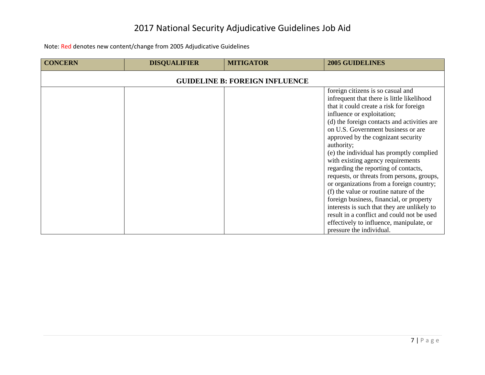| <b>CONCERN</b> | <b>DISQUALIFIER</b> | <b>MITIGATOR</b>                      | <b>2005 GUIDELINES</b>                                                                                                                                                                                                                                                                                                                                                                                                                                                                                                                                                                                                                                                                                                                                                          |
|----------------|---------------------|---------------------------------------|---------------------------------------------------------------------------------------------------------------------------------------------------------------------------------------------------------------------------------------------------------------------------------------------------------------------------------------------------------------------------------------------------------------------------------------------------------------------------------------------------------------------------------------------------------------------------------------------------------------------------------------------------------------------------------------------------------------------------------------------------------------------------------|
|                |                     | <b>GUIDELINE B: FOREIGN INFLUENCE</b> |                                                                                                                                                                                                                                                                                                                                                                                                                                                                                                                                                                                                                                                                                                                                                                                 |
|                |                     |                                       | foreign citizens is so casual and<br>infrequent that there is little likelihood<br>that it could create a risk for foreign<br>influence or exploitation;<br>(d) the foreign contacts and activities are<br>on U.S. Government business or are<br>approved by the cognizant security<br>authority;<br>(e) the individual has promptly complied<br>with existing agency requirements<br>regarding the reporting of contacts,<br>requests, or threats from persons, groups,<br>or organizations from a foreign country;<br>(f) the value or routine nature of the<br>foreign business, financial, or property<br>interests is such that they are unlikely to<br>result in a conflict and could not be used<br>effectively to influence, manipulate, or<br>pressure the individual. |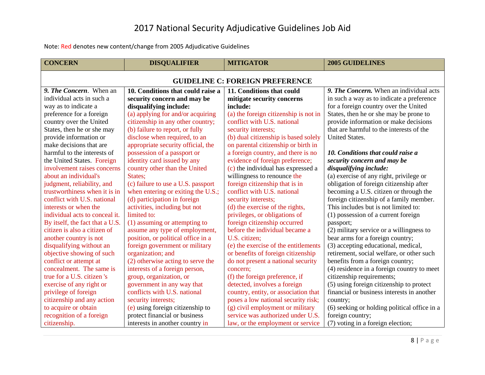<span id="page-8-0"></span>

| <b>CONCERN</b>                         | <b>DISQUALIFIER</b>                | <b>MITIGATOR</b>                      | <b>2005 GUIDELINES</b>                       |  |
|----------------------------------------|------------------------------------|---------------------------------------|----------------------------------------------|--|
| <b>GUIDELINE C: FOREIGN PREFERENCE</b> |                                    |                                       |                                              |  |
| 9. The Concern. When an                | 10. Conditions that could raise a  | 11. Conditions that could             | 9. The Concern. When an individual acts      |  |
| individual acts in such a              | security concern and may be        | mitigate security concerns            | in such a way as to indicate a preference    |  |
| way as to indicate a                   | disqualifying include:             | include:                              | for a foreign country over the United        |  |
| preference for a foreign               | (a) applying for and/or acquiring  | (a) the foreign citizenship is not in | States, then he or she may be prone to       |  |
| country over the United                | citizenship in any other country;  | conflict with U.S. national           | provide information or make decisions        |  |
| States, then he or she may             | (b) failure to report, or fully    | security interests;                   | that are harmful to the interests of the     |  |
| provide information or                 | disclose when required, to an      | (b) dual citizenship is based solely  | United States.                               |  |
| make decisions that are                | appropriate security official, the | on parental citizenship or birth in   |                                              |  |
| harmful to the interests of            | possession of a passport or        | a foreign country, and there is no    | 10. Conditions that could raise a            |  |
| the United States. Foreign             | identity card issued by any        | evidence of foreign preference;       | security concern and may be                  |  |
| involvement raises concerns            | country other than the United      | (c) the individual has expressed a    | disqualifying include:                       |  |
| about an individual's                  | States;                            | willingness to renounce the           | (a) exercise of any right, privilege or      |  |
| judgment, reliability, and             | (c) failure to use a U.S. passport | foreign citizenship that is in        | obligation of foreign citizenship after      |  |
| trustworthiness when it is in          | when entering or exiting the U.S.; | conflict with U.S. national           | becoming a U.S. citizen or through the       |  |
| conflict with U.S. national            | (d) participation in foreign       | security interests;                   | foreign citizenship of a family member.      |  |
| interests or when the                  | activities, including but not      | (d) the exercise of the rights,       | This includes but is not limited to:         |  |
| individual acts to conceal it.         | limited to:                        | privileges, or obligations of         | (1) possession of a current foreign          |  |
| By itself, the fact that a U.S.        | (1) assuming or attempting to      | foreign citizenship occurred          | passport;                                    |  |
| citizen is also a citizen of           | assume any type of employment,     | before the individual became a        | (2) military service or a willingness to     |  |
| another country is not                 | position, or political office in a | U.S. citizen;                         | bear arms for a foreign country;             |  |
| disqualifying without an               | foreign government or military     | (e) the exercise of the entitlements  | (3) accepting educational, medical,          |  |
| objective showing of such              | organization; and                  | or benefits of foreign citizenship    | retirement, social welfare, or other such    |  |
| conflict or attempt at                 | (2) otherwise acting to serve the  | do not present a national security    | benefits from a foreign country;             |  |
| concealment. The same is               | interests of a foreign person,     | concern;                              | (4) residence in a foreign country to meet   |  |
| true for a U.S. citizen 's             | group, organization, or            | (f) the foreign preference, if        | citizenship requirements;                    |  |
| exercise of any right or               | government in any way that         | detected, involves a foreign          | (5) using foreign citizenship to protect     |  |
| privilege of foreign                   | conflicts with U.S. national       | country, entity, or association that  | financial or business interests in another   |  |
| citizenship and any action             | security interests;                | poses a low national security risk;   | country;                                     |  |
| to acquire or obtain                   | (e) using foreign citizenship to   | (g) civil employment or military      | (6) seeking or holding political office in a |  |
| recognition of a foreign               | protect financial or business      | service was authorized under U.S.     | foreign country;                             |  |
| citizenship.                           | interests in another country in    | law, or the employment or service     | (7) voting in a foreign election;            |  |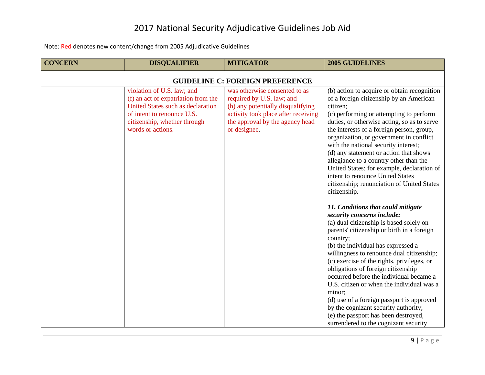| <b>CONCERN</b>                         | <b>DISQUALIFIER</b>                                                                                                                                                                       | <b>MITIGATOR</b>                                                                                                                                                                          | <b>2005 GUIDELINES</b>                                                                                                                                                                                                                                                                                                                                                                                                                                                                                                                                                                                                                                                                                                                                                                                                                                                                                                                                                                                                                                                                                                                                                                   |
|----------------------------------------|-------------------------------------------------------------------------------------------------------------------------------------------------------------------------------------------|-------------------------------------------------------------------------------------------------------------------------------------------------------------------------------------------|------------------------------------------------------------------------------------------------------------------------------------------------------------------------------------------------------------------------------------------------------------------------------------------------------------------------------------------------------------------------------------------------------------------------------------------------------------------------------------------------------------------------------------------------------------------------------------------------------------------------------------------------------------------------------------------------------------------------------------------------------------------------------------------------------------------------------------------------------------------------------------------------------------------------------------------------------------------------------------------------------------------------------------------------------------------------------------------------------------------------------------------------------------------------------------------|
| <b>GUIDELINE C: FOREIGN PREFERENCE</b> |                                                                                                                                                                                           |                                                                                                                                                                                           |                                                                                                                                                                                                                                                                                                                                                                                                                                                                                                                                                                                                                                                                                                                                                                                                                                                                                                                                                                                                                                                                                                                                                                                          |
|                                        | violation of U.S. law; and<br>(f) an act of expatriation from the<br>United States such as declaration<br>of intent to renounce U.S.<br>citizenship, whether through<br>words or actions. | was otherwise consented to as<br>required by U.S. law; and<br>(h) any potentially disqualifying<br>activity took place after receiving<br>the approval by the agency head<br>or designee. | (b) action to acquire or obtain recognition<br>of a foreign citizenship by an American<br>citizen;<br>(c) performing or attempting to perform<br>duties, or otherwise acting, so as to serve<br>the interests of a foreign person, group,<br>organization, or government in conflict<br>with the national security interest;<br>(d) any statement or action that shows<br>allegiance to a country other than the<br>United States: for example, declaration of<br>intent to renounce United States<br>citizenship; renunciation of United States<br>citizenship.<br>11. Conditions that could mitigate<br>security concerns include:<br>(a) dual citizenship is based solely on<br>parents' citizenship or birth in a foreign<br>country;<br>(b) the individual has expressed a<br>willingness to renounce dual citizenship;<br>(c) exercise of the rights, privileges, or<br>obligations of foreign citizenship<br>occurred before the individual became a<br>U.S. citizen or when the individual was a<br>minor;<br>(d) use of a foreign passport is approved<br>by the cognizant security authority;<br>(e) the passport has been destroyed,<br>surrendered to the cognizant security |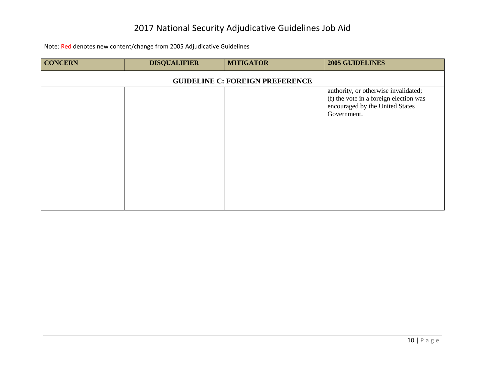| <b>CONCERN</b>                         | <b>DISQUALIFIER</b> | <b>MITIGATOR</b> | <b>2005 GUIDELINES</b>                                                                                                           |
|----------------------------------------|---------------------|------------------|----------------------------------------------------------------------------------------------------------------------------------|
| <b>GUIDELINE C: FOREIGN PREFERENCE</b> |                     |                  |                                                                                                                                  |
|                                        |                     |                  | authority, or otherwise invalidated;<br>(f) the vote in a foreign election was<br>encouraged by the United States<br>Government. |
|                                        |                     |                  |                                                                                                                                  |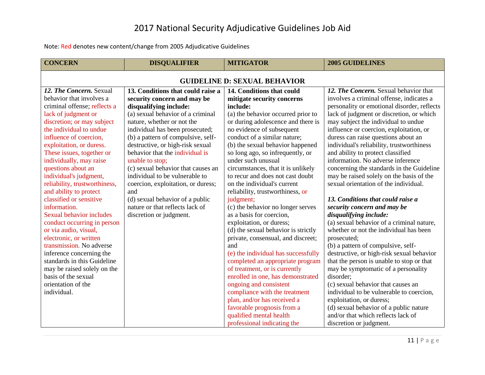<span id="page-11-0"></span>

| <b>CONCERN</b>                      | <b>DISQUALIFIER</b>                | <b>MITIGATOR</b>                    | <b>2005 GUIDELINES</b>                      |
|-------------------------------------|------------------------------------|-------------------------------------|---------------------------------------------|
| <b>GUIDELINE D: SEXUAL BEHAVIOR</b> |                                    |                                     |                                             |
| 12. The Concern. Sexual             | 13. Conditions that could raise a  | 14. Conditions that could           | 12. The Concern. Sexual behavior that       |
| behavior that involves a            | security concern and may be        | mitigate security concerns          | involves a criminal offense, indicates a    |
| criminal offense; reflects a        | disqualifying include:             | include:                            | personality or emotional disorder, reflects |
| lack of judgment or                 | (a) sexual behavior of a criminal  | (a) the behavior occurred prior to  | lack of judgment or discretion, or which    |
| discretion; or may subject          | nature, whether or not the         | or during adolescence and there is  | may subject the individual to undue         |
| the individual to undue             | individual has been prosecuted;    | no evidence of subsequent           | influence or coercion, exploitation, or     |
| influence of coercion,              | (b) a pattern of compulsive, self- | conduct of a similar nature;        | duress can raise questions about an         |
| exploitation, or duress.            | destructive, or high-risk sexual   | (b) the sexual behavior happened    | individual's reliability, trustworthiness   |
| These issues, together or           | behavior that the individual is    | so long ago, so infrequently, or    | and ability to protect classified           |
| individually, may raise             | unable to stop;                    | under such unusual                  | information. No adverse inference           |
| questions about an                  | (c) sexual behavior that causes an | circumstances, that it is unlikely  | concerning the standards in the Guideline   |
| individual's judgment,              | individual to be vulnerable to     | to recur and does not cast doubt    | may be raised solely on the basis of the    |
| reliability, trustworthiness,       | coercion, exploitation, or duress; | on the individual's current         | sexual orientation of the individual.       |
| and ability to protect              | and                                | reliability, trustworthiness, or    |                                             |
| classified or sensitive             | (d) sexual behavior of a public    | judgment;                           | 13. Conditions that could raise a           |
| information.                        | nature or that reflects lack of    | (c) the behavior no longer serves   | security concern and may be                 |
| Sexual behavior includes            | discretion or judgment.            | as a basis for coercion,            | disqualifying include:                      |
| conduct occurring in person         |                                    | exploitation, or duress;            | (a) sexual behavior of a criminal nature,   |
| or via audio, visual,               |                                    | (d) the sexual behavior is strictly | whether or not the individual has been      |
| electronic, or written              |                                    | private, consensual, and discreet;  | prosecuted;                                 |
| transmission. No adverse            |                                    | and                                 | (b) a pattern of compulsive, self-          |
| inference concerning the            |                                    | (e) the individual has successfully | destructive, or high-risk sexual behavior   |
| standards in this Guideline         |                                    | completed an appropriate program    | that the person is unable to stop or that   |
| may be raised solely on the         |                                    | of treatment, or is currently       | may be symptomatic of a personality         |
| basis of the sexual                 |                                    | enrolled in one, has demonstrated   | disorder;                                   |
| orientation of the                  |                                    | ongoing and consistent              | (c) sexual behavior that causes an          |
| individual.                         |                                    | compliance with the treatment       | individual to be vulnerable to coercion,    |
|                                     |                                    | plan, and/or has received a         | exploitation, or duress;                    |
|                                     |                                    | favorable prognosis from a          | (d) sexual behavior of a public nature      |
|                                     |                                    | qualified mental health             | and/or that which reflects lack of          |
|                                     |                                    | professional indicating the         | discretion or judgment.                     |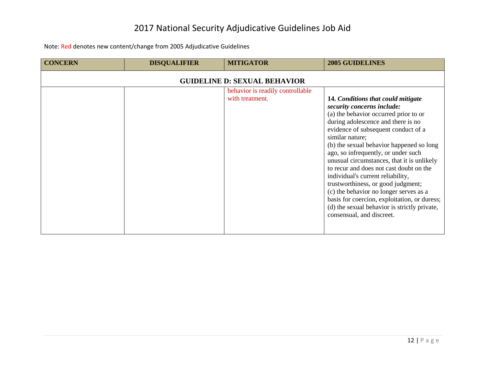| <b>CONCERN</b> | <b>DISQUALIFIER</b>                 | <b>MITIGATOR</b>                                    | <b>2005 GUIDELINES</b>                                                                                                                                                                                                                                                                                                                                                                                                                                                                                                                                                                                                                  |  |
|----------------|-------------------------------------|-----------------------------------------------------|-----------------------------------------------------------------------------------------------------------------------------------------------------------------------------------------------------------------------------------------------------------------------------------------------------------------------------------------------------------------------------------------------------------------------------------------------------------------------------------------------------------------------------------------------------------------------------------------------------------------------------------------|--|
|                | <b>GUIDELINE D: SEXUAL BEHAVIOR</b> |                                                     |                                                                                                                                                                                                                                                                                                                                                                                                                                                                                                                                                                                                                                         |  |
|                |                                     | behavior is readily controllable<br>with treatment. | 14. Conditions that could mitigate<br>security concerns include:<br>(a) the behavior occurred prior to or<br>during adolescence and there is no<br>evidence of subsequent conduct of a<br>similar nature;<br>(b) the sexual behavior happened so long<br>ago, so infrequently, or under such<br>unusual circumstances, that it is unlikely<br>to recur and does not cast doubt on the<br>individual's current reliability,<br>trustworthiness, or good judgment;<br>(c) the behavior no longer serves as a<br>basis for coercion, exploitation, or duress;<br>(d) the sexual behavior is strictly private,<br>consensual, and discreet. |  |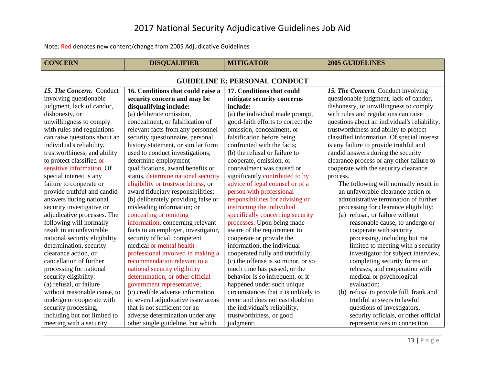<span id="page-13-0"></span>

| <b>CONCERN</b>                       | <b>DISQUALIFIER</b>                 | <b>MITIGATOR</b>                     | <b>2005 GUIDELINES</b>                       |  |
|--------------------------------------|-------------------------------------|--------------------------------------|----------------------------------------------|--|
| <b>GUIDELINE E: PERSONAL CONDUCT</b> |                                     |                                      |                                              |  |
| 15. The Concern. Conduct             | 16. Conditions that could raise a   | 17. Conditions that could            | 15. The Concern. Conduct involving           |  |
| involving questionable               | security concern and may be         | mitigate security concerns           | questionable judgment, lack of candor,       |  |
| judgment, lack of candor,            | disqualifying include:              | include:                             | dishonesty, or unwillingness to comply       |  |
| dishonesty, or                       | (a) deliberate omission,            | (a) the individual made prompt,      | with rules and regulations can raise         |  |
| unwillingness to comply              | concealment, or falsification of    | good-faith efforts to correct the    | questions about an individual's reliability, |  |
| with rules and regulations           | relevant facts from any personnel   | omission, concealment, or            | trustworthiness and ability to protect       |  |
| can raise questions about an         | security questionnaire, personal    | falsification before being           | classified information. Of special interest  |  |
| individual's reliability,            | history statement, or similar form  | confronted with the facts;           | is any failure to provide truthful and       |  |
| trustworthiness, and ability         | used to conduct investigations,     | (b) the refusal or failure to        | candid answers during the security           |  |
| to protect classified or             | determine employment                | cooperate, omission, or              | clearance process or any other failure to    |  |
| sensitive information. Of            | qualifications, award benefits or   | concealment was caused or            | cooperate with the security clearance        |  |
| special interest is any              | status, determine national security | significantly contributed to by      | process.                                     |  |
| failure to cooperate or              | eligibility or trustworthiness, or  | advice of legal counsel or of a      | The following will normally result in        |  |
| provide truthful and candid          | award fiduciary responsibilities;   | person with professional             | an unfavorable clearance action or           |  |
| answers during national              | (b) deliberately providing false or | responsibilities for advising or     | administrative termination of further        |  |
| security investigative or            | misleading information; or          | instructing the individual           | processing for clearance eligibility:        |  |
| adjudicative processes. The          | concealing or omitting              | specifically concerning security     | (a) refusal, or failure without              |  |
| following will normally              | information, concerning relevant    | processes. Upon being made           | reasonable cause, to undergo or              |  |
| result in an unfavorable             | facts to an employer, investigator, | aware of the requirement to          | cooperate with security                      |  |
| national security eligibility        | security official, competent        | cooperate or provide the             | processing, including but not                |  |
| determination, security              | medical or mental health            | information, the individual          | limited to meeting with a security           |  |
| clearance action, or                 | professional involved in making a   | cooperated fully and truthfully;     | investigator for subject interview,          |  |
| cancellation of further              | recommendation relevant to a        | (c) the offense is so minor, or so   | completing security forms or                 |  |
| processing for national              | national security eligibility       | much time has passed, or the         | releases, and cooperation with               |  |
| security eligibility:                | determination, or other official    | behavior is so infrequent, or it     | medical or psychological                     |  |
| (a) refusal, or failure              | government representative;          | happened under such unique           | evaluation;                                  |  |
| without reasonable cause, to         | (c) credible adverse information    | circumstances that it is unlikely to | (b) refusal to provide full, frank and       |  |
| undergo or cooperate with            | in several adjudicative issue areas | recur and does not cast doubt on     | truthful answers to lawful                   |  |
| security processing,                 | that is not sufficient for an       | the individual's reliability,        | questions of investigators,                  |  |
| including but not limited to         | adverse determination under any     | trustworthiness, or good             | security officials, or other official        |  |
| meeting with a security              | other single guideline, but which,  | judgment;                            | representatives in connection                |  |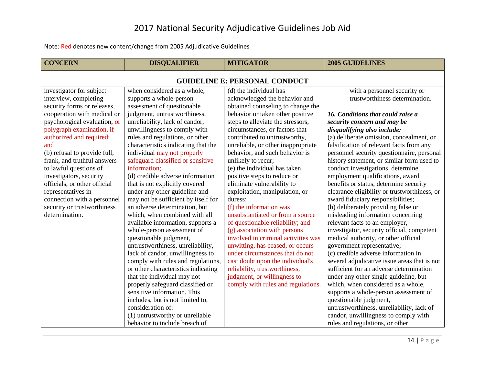| <b>CONCERN</b>                       | <b>DISQUALIFIER</b>                 | <b>MITIGATOR</b>                    | <b>2005 GUIDELINES</b>                       |  |  |
|--------------------------------------|-------------------------------------|-------------------------------------|----------------------------------------------|--|--|
| <b>GUIDELINE E: PERSONAL CONDUCT</b> |                                     |                                     |                                              |  |  |
| investigator for subject             | when considered as a whole,         | (d) the individual has              | with a personnel security or                 |  |  |
| interview, completing                | supports a whole-person             | acknowledged the behavior and       | trustworthiness determination.               |  |  |
| security forms or releases,          | assessment of questionable          | obtained counseling to change the   |                                              |  |  |
| cooperation with medical or          | judgment, untrustworthiness,        | behavior or taken other positive    | 16. Conditions that could raise a            |  |  |
| psychological evaluation, or         | unreliability, lack of candor,      | steps to alleviate the stressors,   | security concern and may be                  |  |  |
| polygraph examination, if            | unwillingness to comply with        | circumstances, or factors that      | disqualifying also include:                  |  |  |
| authorized and required;             | rules and regulations, or other     | contributed to untrustworthy,       | (a) deliberate omission, concealment, or     |  |  |
| and                                  | characteristics indicating that the | unreliable, or other inappropriate  | falsification of relevant facts from any     |  |  |
| (b) refusal to provide full,         | individual may not properly         | behavior, and such behavior is      | personnel security questionnaire, personal   |  |  |
| frank, and truthful answers          | safeguard classified or sensitive   | unlikely to recur;                  | history statement, or similar form used to   |  |  |
| to lawful questions of               | information;                        | (e) the individual has taken        | conduct investigations, determine            |  |  |
| investigators, security              | (d) credible adverse information    | positive steps to reduce or         | employment qualifications, award             |  |  |
| officials, or other official         | that is not explicitly covered      | eliminate vulnerability to          | benefits or status, determine security       |  |  |
| representatives in                   | under any other guideline and       | exploitation, manipulation, or      | clearance eligibility or trustworthiness, or |  |  |
| connection with a personnel          | may not be sufficient by itself for | duress;                             | award fiduciary responsibilities;            |  |  |
| security or trustworthiness          | an adverse determination, but       | (f) the information was             | (b) deliberately providing false or          |  |  |
| determination.                       | which, when combined with all       | unsubstantiated or from a source    | misleading information concerning            |  |  |
|                                      | available information, supports a   | of questionable reliability; and    | relevant facts to an employer,               |  |  |
|                                      | whole-person assessment of          | (g) association with persons        | investigator, security official, competent   |  |  |
|                                      | questionable judgment,              | involved in criminal activities was | medical authority, or other official         |  |  |
|                                      | untrustworthiness, unreliability,   | unwitting, has ceased, or occurs    | government representative;                   |  |  |
|                                      | lack of candor, unwillingness to    | under circumstances that do not     | (c) credible adverse information in          |  |  |
|                                      | comply with rules and regulations,  | cast doubt upon the individual's    | several adjudicative issue areas that is not |  |  |
|                                      | or other characteristics indicating | reliability, trustworthiness,       | sufficient for an adverse determination      |  |  |
|                                      | that the individual may not         | judgment, or willingness to         | under any other single guideline, but        |  |  |
|                                      | properly safeguard classified or    | comply with rules and regulations.  | which, when considered as a whole,           |  |  |
|                                      | sensitive information. This         |                                     | supports a whole-person assessment of        |  |  |
|                                      | includes, but is not limited to,    |                                     | questionable judgment,                       |  |  |
|                                      | consideration of:                   |                                     | untrustworthiness, unreliability, lack of    |  |  |
|                                      | (1) untrustworthy or unreliable     |                                     | candor, unwillingness to comply with         |  |  |
|                                      | behavior to include breach of       |                                     | rules and regulations, or other              |  |  |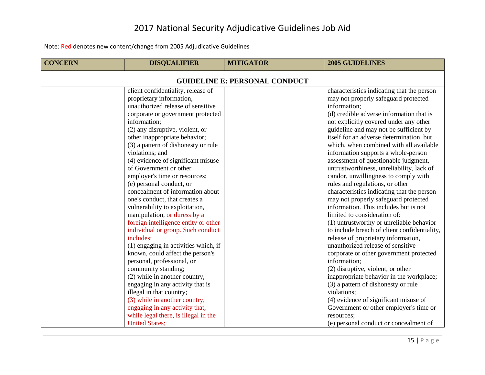| <b>CONCERN</b>                       | <b>DISQUALIFIER</b>                  | <b>MITIGATOR</b> | <b>2005 GUIDELINES</b>                       |  |
|--------------------------------------|--------------------------------------|------------------|----------------------------------------------|--|
| <b>GUIDELINE E: PERSONAL CONDUCT</b> |                                      |                  |                                              |  |
|                                      | client confidentiality, release of   |                  | characteristics indicating that the person   |  |
|                                      | proprietary information,             |                  | may not properly safeguard protected         |  |
|                                      | unauthorized release of sensitive    |                  | information;                                 |  |
|                                      | corporate or government protected    |                  | (d) credible adverse information that is     |  |
|                                      | information;                         |                  | not explicitly covered under any other       |  |
|                                      | (2) any disruptive, violent, or      |                  | guideline and may not be sufficient by       |  |
|                                      | other inappropriate behavior;        |                  | itself for an adverse determination, but     |  |
|                                      | (3) a pattern of dishonesty or rule  |                  | which, when combined with all available      |  |
|                                      | violations; and                      |                  | information supports a whole-person          |  |
|                                      | (4) evidence of significant misuse   |                  | assessment of questionable judgment,         |  |
|                                      | of Government or other               |                  | untrustworthiness, unreliability, lack of    |  |
|                                      | employer's time or resources;        |                  | candor, unwillingness to comply with         |  |
|                                      | (e) personal conduct, or             |                  | rules and regulations, or other              |  |
|                                      | concealment of information about     |                  | characteristics indicating that the person   |  |
|                                      | one's conduct, that creates a        |                  | may not properly safeguard protected         |  |
|                                      | vulnerability to exploitation,       |                  | information. This includes but is not        |  |
|                                      | manipulation, or duress by a         |                  | limited to consideration of:                 |  |
|                                      | foreign intelligence entity or other |                  | (1) untrustworthy or unreliable behavior     |  |
|                                      | individual or group. Such conduct    |                  | to include breach of client confidentiality, |  |
|                                      | includes:                            |                  | release of proprietary information,          |  |
|                                      | (1) engaging in activities which, if |                  | unauthorized release of sensitive            |  |
|                                      | known, could affect the person's     |                  | corporate or other government protected      |  |
|                                      | personal, professional, or           |                  | information;                                 |  |
|                                      | community standing;                  |                  | (2) disruptive, violent, or other            |  |
|                                      | (2) while in another country,        |                  | inappropriate behavior in the workplace;     |  |
|                                      | engaging in any activity that is     |                  | (3) a pattern of dishonesty or rule          |  |
|                                      | illegal in that country;             |                  | violations;                                  |  |
|                                      | (3) while in another country,        |                  | (4) evidence of significant misuse of        |  |
|                                      | engaging in any activity that,       |                  | Government or other employer's time or       |  |
|                                      | while legal there, is illegal in the |                  | resources;                                   |  |
|                                      | <b>United States;</b>                |                  | (e) personal conduct or concealment of       |  |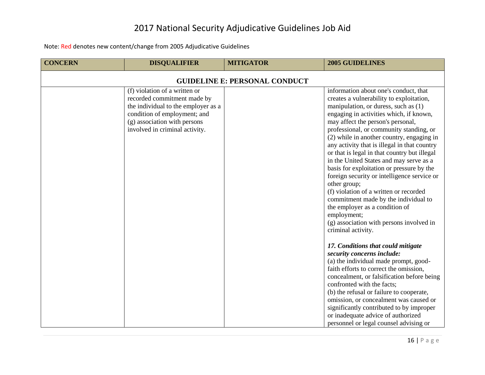| <b>CONCERN</b>                       | <b>DISQUALIFIER</b>                                                                                                                                                                                   | <b>MITIGATOR</b> | <b>2005 GUIDELINES</b>                                                                                                                                                                                                                                                                                                                                                                                                                                                                                                                                                                                                                                                                                                                                                                                                                                                                                                                                                                                                                                                                                                                                                                                             |  |
|--------------------------------------|-------------------------------------------------------------------------------------------------------------------------------------------------------------------------------------------------------|------------------|--------------------------------------------------------------------------------------------------------------------------------------------------------------------------------------------------------------------------------------------------------------------------------------------------------------------------------------------------------------------------------------------------------------------------------------------------------------------------------------------------------------------------------------------------------------------------------------------------------------------------------------------------------------------------------------------------------------------------------------------------------------------------------------------------------------------------------------------------------------------------------------------------------------------------------------------------------------------------------------------------------------------------------------------------------------------------------------------------------------------------------------------------------------------------------------------------------------------|--|
| <b>GUIDELINE E: PERSONAL CONDUCT</b> |                                                                                                                                                                                                       |                  |                                                                                                                                                                                                                                                                                                                                                                                                                                                                                                                                                                                                                                                                                                                                                                                                                                                                                                                                                                                                                                                                                                                                                                                                                    |  |
|                                      | (f) violation of a written or<br>recorded commitment made by<br>the individual to the employer as a<br>condition of employment; and<br>(g) association with persons<br>involved in criminal activity. |                  | information about one's conduct, that<br>creates a vulnerability to exploitation,<br>manipulation, or duress, such as (1)<br>engaging in activities which, if known,<br>may affect the person's personal,<br>professional, or community standing, or<br>(2) while in another country, engaging in<br>any activity that is illegal in that country<br>or that is legal in that country but illegal<br>in the United States and may serve as a<br>basis for exploitation or pressure by the<br>foreign security or intelligence service or<br>other group;<br>(f) violation of a written or recorded<br>commitment made by the individual to<br>the employer as a condition of<br>employment;<br>(g) association with persons involved in<br>criminal activity.<br>17. Conditions that could mitigate<br>security concerns include:<br>(a) the individual made prompt, good-<br>faith efforts to correct the omission,<br>concealment, or falsification before being<br>confronted with the facts;<br>(b) the refusal or failure to cooperate,<br>omission, or concealment was caused or<br>significantly contributed to by improper<br>or inadequate advice of authorized<br>personnel or legal counsel advising or |  |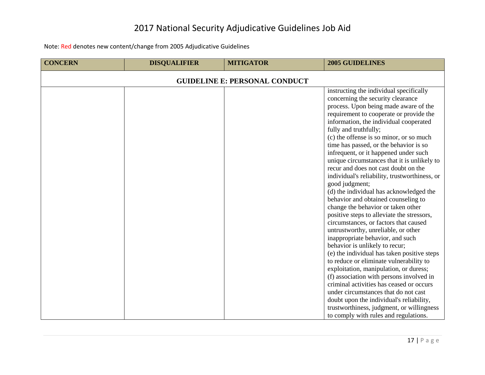| <b>CONCERN</b>                       | <b>DISQUALIFIER</b> | <b>MITIGATOR</b> | <b>2005 GUIDELINES</b>                                                                                                                                                                                                                                                                                                                                                                                                                                                                                                                                                                                                                                                                                                                                                                                                                                                                                                                                                                                                                                                                                                                                                                                                                                        |  |
|--------------------------------------|---------------------|------------------|---------------------------------------------------------------------------------------------------------------------------------------------------------------------------------------------------------------------------------------------------------------------------------------------------------------------------------------------------------------------------------------------------------------------------------------------------------------------------------------------------------------------------------------------------------------------------------------------------------------------------------------------------------------------------------------------------------------------------------------------------------------------------------------------------------------------------------------------------------------------------------------------------------------------------------------------------------------------------------------------------------------------------------------------------------------------------------------------------------------------------------------------------------------------------------------------------------------------------------------------------------------|--|
| <b>GUIDELINE E: PERSONAL CONDUCT</b> |                     |                  |                                                                                                                                                                                                                                                                                                                                                                                                                                                                                                                                                                                                                                                                                                                                                                                                                                                                                                                                                                                                                                                                                                                                                                                                                                                               |  |
|                                      |                     |                  | instructing the individual specifically<br>concerning the security clearance<br>process. Upon being made aware of the<br>requirement to cooperate or provide the<br>information, the individual cooperated<br>fully and truthfully;<br>(c) the offense is so minor, or so much<br>time has passed, or the behavior is so<br>infrequent, or it happened under such<br>unique circumstances that it is unlikely to<br>recur and does not cast doubt on the<br>individual's reliability, trustworthiness, or<br>good judgment;<br>(d) the individual has acknowledged the<br>behavior and obtained counseling to<br>change the behavior or taken other<br>positive steps to alleviate the stressors,<br>circumstances, or factors that caused<br>untrustworthy, unreliable, or other<br>inappropriate behavior, and such<br>behavior is unlikely to recur;<br>(e) the individual has taken positive steps<br>to reduce or eliminate vulnerability to<br>exploitation, manipulation, or duress;<br>(f) association with persons involved in<br>criminal activities has ceased or occurs<br>under circumstances that do not cast<br>doubt upon the individual's reliability,<br>trustworthiness, judgment, or willingness<br>to comply with rules and regulations. |  |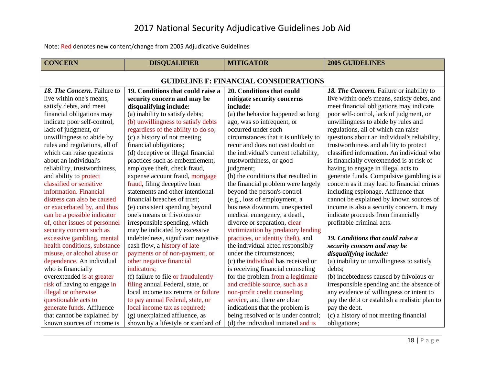<span id="page-18-0"></span>

| <b>CONCERN</b>                               | <b>DISQUALIFIER</b>                 | <b>MITIGATOR</b>                      | <b>2005 GUIDELINES</b>                        |  |
|----------------------------------------------|-------------------------------------|---------------------------------------|-----------------------------------------------|--|
| <b>GUIDELINE F: FINANCIAL CONSIDERATIONS</b> |                                     |                                       |                                               |  |
| 18. The Concern. Failure to                  | 19. Conditions that could raise a   | 20. Conditions that could             | 18. The Concern. Failure or inability to      |  |
| live within one's means,                     | security concern and may be         | mitigate security concerns            | live within one's means, satisfy debts, and   |  |
| satisfy debts, and meet                      | disqualifying include:              | include:                              | meet financial obligations may indicate       |  |
| financial obligations may                    | (a) inability to satisfy debts;     | (a) the behavior happened so long     | poor self-control, lack of judgment, or       |  |
| indicate poor self-control,                  | (b) unwillingness to satisfy debts  | ago, was so infrequent, or            | unwillingness to abide by rules and           |  |
| lack of judgment, or                         | regardless of the ability to do so; | occurred under such                   | regulations, all of which can raise           |  |
| unwillingness to abide by                    | (c) a history of not meeting        | circumstances that it is unlikely to  | questions about an individual's reliability,  |  |
| rules and regulations, all of                | financial obligations;              | recur and does not cast doubt on      | trustworthiness and ability to protect        |  |
| which can raise questions                    | (d) deceptive or illegal financial  | the individual's current reliability, | classified information. An individual who     |  |
| about an individual's                        | practices such as embezzlement,     | trustworthiness, or good              | is financially overextended is at risk of     |  |
| reliability, trustworthiness,                | employee theft, check fraud,        | judgment;                             | having to engage in illegal acts to           |  |
| and ability to protect                       | expense account fraud, mortgage     | (b) the conditions that resulted in   | generate funds. Compulsive gambling is a      |  |
| classified or sensitive                      | fraud, filing deceptive loan        | the financial problem were largely    | concern as it may lead to financial crimes    |  |
| information. Financial                       | statements and other intentional    | beyond the person's control           | including espionage. Affluence that           |  |
| distress can also be caused                  | financial breaches of trust;        | (e.g., loss of employment, a          | cannot be explained by known sources of       |  |
| or exacerbated by, and thus                  | (e) consistent spending beyond      | business downturn, unexpected         | income is also a security concern. It may     |  |
| can be a possible indicator                  | one's means or frivolous or         | medical emergency, a death,           | indicate proceeds from financially            |  |
| of, other issues of personnel                | irresponsible spending, which       | divorce or separation, clear          | profitable criminal acts.                     |  |
| security concern such as                     | may be indicated by excessive       | victimization by predatory lending    |                                               |  |
| excessive gambling, mental                   | indebtedness, significant negative  | practices, or identity theft), and    | 19. Conditions that could raise a             |  |
| health conditions, substance                 | cash flow, a history of late        | the individual acted responsibly      | security concern and may be                   |  |
| misuse, or alcohol abuse or                  | payments or of non-payment, or      | under the circumstances;              | disqualifying include:                        |  |
| dependence. An individual                    | other negative financial            | (c) the individual has received or    | (a) inability or unwillingness to satisfy     |  |
| who is financially                           | indicators;                         | is receiving financial counseling     | debts;                                        |  |
| overextended is at greater                   | (f) failure to file or fraudulently | for the problem from a legitimate     | (b) indebtedness caused by frivolous or       |  |
| risk of having to engage in                  | filing annual Federal, state, or    | and credible source, such as a        | irresponsible spending and the absence of     |  |
| illegal or otherwise                         | local income tax returns or failure | non-profit credit counseling          | any evidence of willingness or intent to      |  |
| questionable acts to                         | to pay annual Federal, state, or    | service, and there are clear          | pay the debt or establish a realistic plan to |  |
| generate funds. Affluence                    | local income tax as required;       | indications that the problem is       | pay the debt.                                 |  |
| that cannot be explained by                  | (g) unexplained affluence, as       | being resolved or is under control;   | (c) a history of not meeting financial        |  |
| known sources of income is                   | shown by a lifestyle or standard of | (d) the individual initiated and is   | obligations;                                  |  |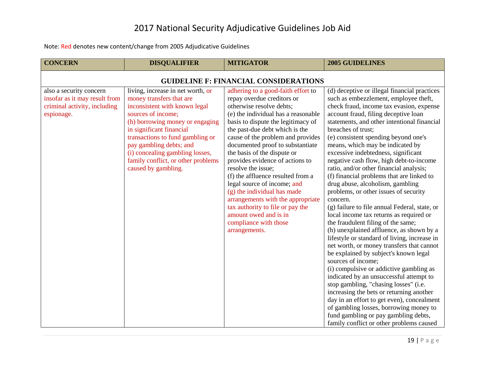| <b>CONCERN</b>                                                                                         | <b>DISQUALIFIER</b>                                                                                                                                                                                                                                                                                                                                | <b>MITIGATOR</b>                                                                                                                                                                                                                                                                                                                                                                                                                                                                                                                                                                                                            | <b>2005 GUIDELINES</b>                                                                                                                                                                                                                                                                                                                                                                                                                                                                                                                                                                                                                                                                                                                                                                                                                                                                                                                                                                                                                                                                                                                                                                                                                                                                         |  |  |
|--------------------------------------------------------------------------------------------------------|----------------------------------------------------------------------------------------------------------------------------------------------------------------------------------------------------------------------------------------------------------------------------------------------------------------------------------------------------|-----------------------------------------------------------------------------------------------------------------------------------------------------------------------------------------------------------------------------------------------------------------------------------------------------------------------------------------------------------------------------------------------------------------------------------------------------------------------------------------------------------------------------------------------------------------------------------------------------------------------------|------------------------------------------------------------------------------------------------------------------------------------------------------------------------------------------------------------------------------------------------------------------------------------------------------------------------------------------------------------------------------------------------------------------------------------------------------------------------------------------------------------------------------------------------------------------------------------------------------------------------------------------------------------------------------------------------------------------------------------------------------------------------------------------------------------------------------------------------------------------------------------------------------------------------------------------------------------------------------------------------------------------------------------------------------------------------------------------------------------------------------------------------------------------------------------------------------------------------------------------------------------------------------------------------|--|--|
| <b>GUIDELINE F: FINANCIAL CONSIDERATIONS</b>                                                           |                                                                                                                                                                                                                                                                                                                                                    |                                                                                                                                                                                                                                                                                                                                                                                                                                                                                                                                                                                                                             |                                                                                                                                                                                                                                                                                                                                                                                                                                                                                                                                                                                                                                                                                                                                                                                                                                                                                                                                                                                                                                                                                                                                                                                                                                                                                                |  |  |
| also a security concern<br>insofar as it may result from<br>criminal activity, including<br>espionage. | living, increase in net worth, or<br>money transfers that are<br>inconsistent with known legal<br>sources of income;<br>(h) borrowing money or engaging<br>in significant financial<br>transactions to fund gambling or<br>pay gambling debts; and<br>(i) concealing gambling losses,<br>family conflict, or other problems<br>caused by gambling. | adhering to a good-faith effort to<br>repay overdue creditors or<br>otherwise resolve debts;<br>(e) the individual has a reasonable<br>basis to dispute the legitimacy of<br>the past-due debt which is the<br>cause of the problem and provides<br>documented proof to substantiate<br>the basis of the dispute or<br>provides evidence of actions to<br>resolve the issue;<br>(f) the affluence resulted from a<br>legal source of income; and<br>(g) the individual has made<br>arrangements with the appropriate<br>tax authority to file or pay the<br>amount owed and is in<br>compliance with those<br>arrangements. | (d) deceptive or illegal financial practices<br>such as embezzlement, employee theft,<br>check fraud, income tax evasion, expense<br>account fraud, filing deceptive loan<br>statements, and other intentional financial<br>breaches of trust;<br>(e) consistent spending beyond one's<br>means, which may be indicated by<br>excessive indebtedness, significant<br>negative cash flow, high debt-to-income<br>ratio, and/or other financial analysis;<br>(f) financial problems that are linked to<br>drug abuse, alcoholism, gambling<br>problems, or other issues of security<br>concern.<br>(g) failure to file annual Federal, state, or<br>local income tax returns as required or<br>the fraudulent filing of the same;<br>(h) unexplained affluence, as shown by a<br>lifestyle or standard of living, increase in<br>net worth, or money transfers that cannot<br>be explained by subject's known legal<br>sources of income;<br>(i) compulsive or addictive gambling as<br>indicated by an unsuccessful attempt to<br>stop gambling, "chasing losses" (i.e.<br>increasing the bets or returning another<br>day in an effort to get even), concealment<br>of gambling losses, borrowing money to<br>fund gambling or pay gambling debts,<br>family conflict or other problems caused |  |  |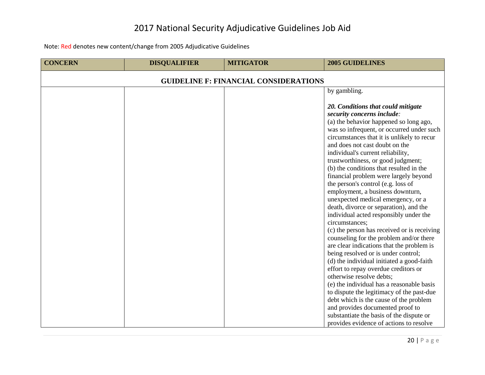| <b>CONCERN</b>                               | <b>DISQUALIFIER</b> | <b>MITIGATOR</b> | <b>2005 GUIDELINES</b>                                                                                                                                                                                                                                                                                                                                                                                                                                                                                                                                                                                                                                                                                                                                                                                                                                  |  |
|----------------------------------------------|---------------------|------------------|---------------------------------------------------------------------------------------------------------------------------------------------------------------------------------------------------------------------------------------------------------------------------------------------------------------------------------------------------------------------------------------------------------------------------------------------------------------------------------------------------------------------------------------------------------------------------------------------------------------------------------------------------------------------------------------------------------------------------------------------------------------------------------------------------------------------------------------------------------|--|
| <b>GUIDELINE F: FINANCIAL CONSIDERATIONS</b> |                     |                  |                                                                                                                                                                                                                                                                                                                                                                                                                                                                                                                                                                                                                                                                                                                                                                                                                                                         |  |
|                                              |                     |                  | by gambling.                                                                                                                                                                                                                                                                                                                                                                                                                                                                                                                                                                                                                                                                                                                                                                                                                                            |  |
|                                              |                     |                  | 20. Conditions that could mitigate<br>security concerns include:<br>(a) the behavior happened so long ago,<br>was so infrequent, or occurred under such<br>circumstances that it is unlikely to recur<br>and does not cast doubt on the<br>individual's current reliability,<br>trustworthiness, or good judgment;<br>(b) the conditions that resulted in the<br>financial problem were largely beyond<br>the person's control (e.g. loss of<br>employment, a business downturn,<br>unexpected medical emergency, or a<br>death, divorce or separation), and the<br>individual acted responsibly under the<br>circumstances;<br>(c) the person has received or is receiving<br>counseling for the problem and/or there<br>are clear indications that the problem is<br>being resolved or is under control;<br>(d) the individual initiated a good-faith |  |
|                                              |                     |                  | effort to repay overdue creditors or                                                                                                                                                                                                                                                                                                                                                                                                                                                                                                                                                                                                                                                                                                                                                                                                                    |  |
|                                              |                     |                  | otherwise resolve debts;                                                                                                                                                                                                                                                                                                                                                                                                                                                                                                                                                                                                                                                                                                                                                                                                                                |  |
|                                              |                     |                  | (e) the individual has a reasonable basis<br>to dispute the legitimacy of the past-due                                                                                                                                                                                                                                                                                                                                                                                                                                                                                                                                                                                                                                                                                                                                                                  |  |
|                                              |                     |                  | debt which is the cause of the problem                                                                                                                                                                                                                                                                                                                                                                                                                                                                                                                                                                                                                                                                                                                                                                                                                  |  |
|                                              |                     |                  | and provides documented proof to                                                                                                                                                                                                                                                                                                                                                                                                                                                                                                                                                                                                                                                                                                                                                                                                                        |  |
|                                              |                     |                  | substantiate the basis of the dispute or                                                                                                                                                                                                                                                                                                                                                                                                                                                                                                                                                                                                                                                                                                                                                                                                                |  |
|                                              |                     |                  | provides evidence of actions to resolve                                                                                                                                                                                                                                                                                                                                                                                                                                                                                                                                                                                                                                                                                                                                                                                                                 |  |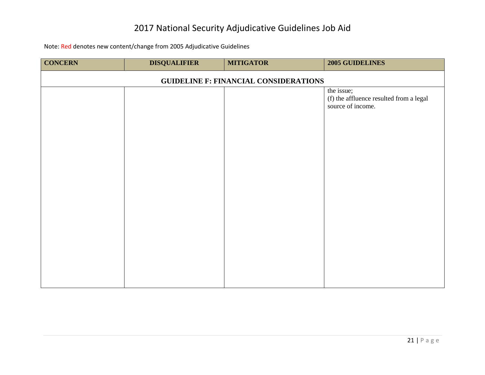| <b>CONCERN</b>                               | <b>DISQUALIFIER</b> | <b>MITIGATOR</b> | 2005 GUIDELINES                                                            |  |
|----------------------------------------------|---------------------|------------------|----------------------------------------------------------------------------|--|
| <b>GUIDELINE F: FINANCIAL CONSIDERATIONS</b> |                     |                  |                                                                            |  |
|                                              |                     |                  | the issue;<br>(f) the affluence resulted from a legal<br>source of income. |  |
|                                              |                     |                  |                                                                            |  |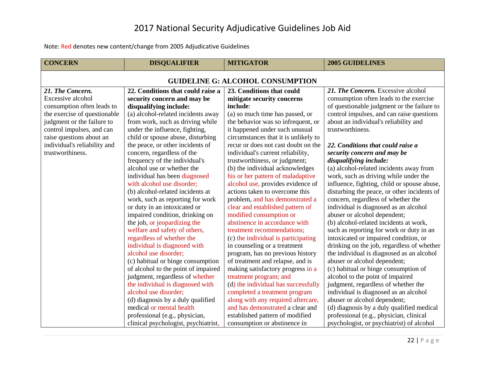<span id="page-22-0"></span>

| <b>CONCERN</b>                          | <b>DISQUALIFIER</b>                  | <b>MITIGATOR</b>                     | <b>2005 GUIDELINES</b>                      |  |
|-----------------------------------------|--------------------------------------|--------------------------------------|---------------------------------------------|--|
| <b>GUIDELINE G: ALCOHOL CONSUMPTION</b> |                                      |                                      |                                             |  |
| 21. The Concern.                        | 22. Conditions that could raise a    | 23. Conditions that could            | 21. The Concern. Excessive alcohol          |  |
| Excessive alcohol                       | security concern and may be          | mitigate security concerns           | consumption often leads to the exercise     |  |
| consumption often leads to              | disqualifying include:               | include:                             | of questionable judgment or the failure to  |  |
| the exercise of questionable            | (a) alcohol-related incidents away   | (a) so much time has passed, or      | control impulses, and can raise questions   |  |
| judgment or the failure to              | from work, such as driving while     | the behavior was so infrequent, or   | about an individual's reliability and       |  |
| control impulses, and can               | under the influence, fighting,       | it happened under such unusual       | trustworthiness.                            |  |
| raise questions about an                | child or spouse abuse, disturbing    | circumstances that it is unlikely to |                                             |  |
| individual's reliability and            | the peace, or other incidents of     | recur or does not cast doubt on the  | 22. Conditions that could raise a           |  |
| trustworthiness.                        | concern, regardless of the           | individual's current reliability,    | security concern and may be                 |  |
|                                         | frequency of the individual's        | trustworthiness, or judgment;        | disqualifying include:                      |  |
|                                         | alcohol use or whether the           | (b) the individual acknowledges      | (a) alcohol-related incidents away from     |  |
|                                         | individual has been diagnosed        | his or her pattern of maladaptive    | work, such as driving while under the       |  |
|                                         | with alcohol use disorder;           | alcohol use, provides evidence of    | influence, fighting, child or spouse abuse, |  |
|                                         | (b) alcohol-related incidents at     | actions taken to overcome this       | disturbing the peace, or other incidents of |  |
|                                         | work, such as reporting for work     | problem, and has demonstrated a      | concern, regardless of whether the          |  |
|                                         | or duty in an intoxicated or         | clear and established pattern of     | individual is diagnosed as an alcohol       |  |
|                                         | impaired condition, drinking on      | modified consumption or              | abuser or alcohol dependent;                |  |
|                                         | the job, or jeopardizing the         | abstinence in accordance with        | (b) alcohol-related incidents at work,      |  |
|                                         | welfare and safety of others,        | treatment recommendations;           | such as reporting for work or duty in an    |  |
|                                         | regardless of whether the            | (c) the individual is participating  | intoxicated or impaired condition, or       |  |
|                                         | individual is diagnosed with         | in counseling or a treatment         | drinking on the job, regardless of whether  |  |
|                                         | alcohol use disorder;                | program, has no previous history     | the individual is diagnosed as an alcohol   |  |
|                                         | (c) habitual or binge consumption    | of treatment and relapse, and is     | abuser or alcohol dependent;                |  |
|                                         | of alcohol to the point of impaired  | making satisfactory progress in a    | (c) habitual or binge consumption of        |  |
|                                         | judgment, regardless of whether      | treatment program; and               | alcohol to the point of impaired            |  |
|                                         | the individual is diagnosed with     | (d) the individual has successfully  | judgment, regardless of whether the         |  |
|                                         | alcohol use disorder;                | completed a treatment program        | individual is diagnosed as an alcohol       |  |
|                                         | (d) diagnosis by a duly qualified    | along with any required aftercare,   | abuser or alcohol dependent;                |  |
|                                         | medical or mental health             | and has demonstrated a clear and     | (d) diagnosis by a duly qualified medical   |  |
|                                         | professional (e.g., physician,       | established pattern of modified      | professional (e.g., physician, clinical     |  |
|                                         | clinical psychologist, psychiatrist, | consumption or abstinence in         | psychologist, or psychiatrist) of alcohol   |  |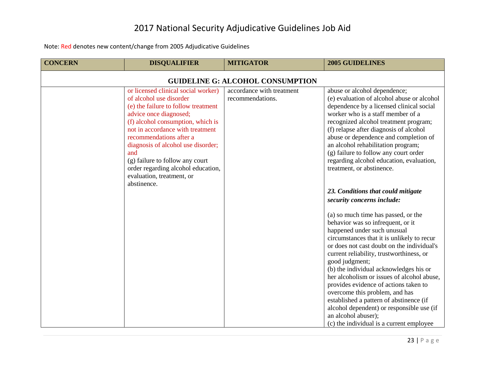| <b>CONCERN</b>                          | <b>DISQUALIFIER</b>                                                                                                                                                                                                                                                                                                                                                                                   | <b>MITIGATOR</b>                              | <b>2005 GUIDELINES</b>                                                                                                                                                                                                                                                                                                                                                                                                                                                                                                                                                                                                                                                                                                                                                                                                                                                                                                                                                                                                                                                                                                 |  |
|-----------------------------------------|-------------------------------------------------------------------------------------------------------------------------------------------------------------------------------------------------------------------------------------------------------------------------------------------------------------------------------------------------------------------------------------------------------|-----------------------------------------------|------------------------------------------------------------------------------------------------------------------------------------------------------------------------------------------------------------------------------------------------------------------------------------------------------------------------------------------------------------------------------------------------------------------------------------------------------------------------------------------------------------------------------------------------------------------------------------------------------------------------------------------------------------------------------------------------------------------------------------------------------------------------------------------------------------------------------------------------------------------------------------------------------------------------------------------------------------------------------------------------------------------------------------------------------------------------------------------------------------------------|--|
| <b>GUIDELINE G: ALCOHOL CONSUMPTION</b> |                                                                                                                                                                                                                                                                                                                                                                                                       |                                               |                                                                                                                                                                                                                                                                                                                                                                                                                                                                                                                                                                                                                                                                                                                                                                                                                                                                                                                                                                                                                                                                                                                        |  |
|                                         | or licensed clinical social worker)<br>of alcohol use disorder<br>(e) the failure to follow treatment<br>advice once diagnosed;<br>(f) alcohol consumption, which is<br>not in accordance with treatment<br>recommendations after a<br>diagnosis of alcohol use disorder;<br>and<br>(g) failure to follow any court<br>order regarding alcohol education,<br>evaluation, treatment, or<br>abstinence. | accordance with treatment<br>recommendations. | abuse or alcohol dependence;<br>(e) evaluation of alcohol abuse or alcohol<br>dependence by a licensed clinical social<br>worker who is a staff member of a<br>recognized alcohol treatment program;<br>(f) relapse after diagnosis of alcohol<br>abuse or dependence and completion of<br>an alcohol rehabilitation program;<br>(g) failure to follow any court order<br>regarding alcohol education, evaluation,<br>treatment, or abstinence.<br>23. Conditions that could mitigate<br>security concerns include:<br>(a) so much time has passed, or the<br>behavior was so infrequent, or it<br>happened under such unusual<br>circumstances that it is unlikely to recur<br>or does not cast doubt on the individual's<br>current reliability, trustworthiness, or<br>good judgment;<br>(b) the individual acknowledges his or<br>her alcoholism or issues of alcohol abuse,<br>provides evidence of actions taken to<br>overcome this problem, and has<br>established a pattern of abstinence (if<br>alcohol dependent) or responsible use (if<br>an alcohol abuser);<br>(c) the individual is a current employee |  |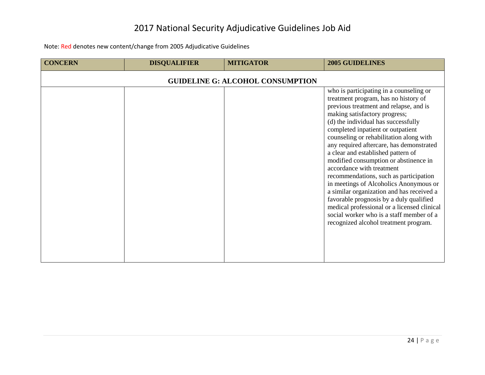| <b>CONCERN</b> | <b>DISQUALIFIER</b> | <b>MITIGATOR</b>                        | <b>2005 GUIDELINES</b>                                                                                                                                                                                                                                                                                                                                                                                                                                                                                                                                                                                                                                                                                                                                    |
|----------------|---------------------|-----------------------------------------|-----------------------------------------------------------------------------------------------------------------------------------------------------------------------------------------------------------------------------------------------------------------------------------------------------------------------------------------------------------------------------------------------------------------------------------------------------------------------------------------------------------------------------------------------------------------------------------------------------------------------------------------------------------------------------------------------------------------------------------------------------------|
|                |                     | <b>GUIDELINE G: ALCOHOL CONSUMPTION</b> |                                                                                                                                                                                                                                                                                                                                                                                                                                                                                                                                                                                                                                                                                                                                                           |
|                |                     |                                         | who is participating in a counseling or<br>treatment program, has no history of<br>previous treatment and relapse, and is<br>making satisfactory progress;<br>(d) the individual has successfully<br>completed inpatient or outpatient<br>counseling or rehabilitation along with<br>any required aftercare, has demonstrated<br>a clear and established pattern of<br>modified consumption or abstinence in<br>accordance with treatment<br>recommendations, such as participation<br>in meetings of Alcoholics Anonymous or<br>a similar organization and has received a<br>favorable prognosis by a duly qualified<br>medical professional or a licensed clinical<br>social worker who is a staff member of a<br>recognized alcohol treatment program. |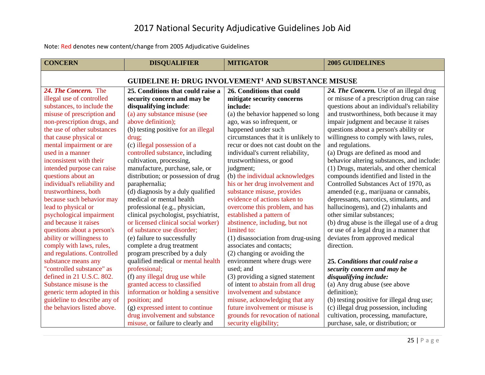<span id="page-25-0"></span>

| <b>CONCERN</b>                                                        | <b>DISQUALIFIER</b>                  | <b>MITIGATOR</b>                     | <b>2005 GUIDELINES</b>                      |  |
|-----------------------------------------------------------------------|--------------------------------------|--------------------------------------|---------------------------------------------|--|
| <b>GUIDELINE H: DRUG INVOLVEMENT<sup>1</sup> AND SUBSTANCE MISUSE</b> |                                      |                                      |                                             |  |
| 24. The Concern. The                                                  | 25. Conditions that could raise a    | 26. Conditions that could            | 24. The Concern. Use of an illegal drug     |  |
| illegal use of controlled                                             | security concern and may be          | mitigate security concerns           | or misuse of a prescription drug can raise  |  |
| substances, to include the                                            | disqualifying include:               | include:                             | questions about an individual's reliability |  |
| misuse of prescription and                                            | (a) any substance misuse (see        | (a) the behavior happened so long    | and trustworthiness, both because it may    |  |
| non-prescription drugs, and                                           | above definition);                   | ago, was so infrequent, or           | impair judgment and because it raises       |  |
| the use of other substances                                           | (b) testing positive for an illegal  | happened under such                  | questions about a person's ability or       |  |
| that cause physical or                                                | drug;                                | circumstances that it is unlikely to | willingness to comply with laws, rules,     |  |
| mental impairment or are                                              | (c) illegal possession of a          | recur or does not cast doubt on the  | and regulations.                            |  |
| used in a manner                                                      | controlled substance, including      | individual's current reliability,    | (a) Drugs are defined as mood and           |  |
| inconsistent with their                                               | cultivation, processing,             | trustworthiness, or good             | behavior altering substances, and include:  |  |
| intended purpose can raise                                            | manufacture, purchase, sale, or      | judgment;                            | (1) Drugs, materials, and other chemical    |  |
| questions about an                                                    | distribution; or possession of drug  | (b) the individual acknowledges      | compounds identified and listed in the      |  |
| individual's reliability and                                          | paraphernalia;                       | his or her drug involvement and      | Controlled Substances Act of 1970, as       |  |
| trustworthiness, both                                                 | (d) diagnosis by a duly qualified    | substance misuse, provides           | amended (e.g., marijuana or cannabis,       |  |
| because such behavior may                                             | medical or mental health             | evidence of actions taken to         | depressants, narcotics, stimulants, and     |  |
| lead to physical or                                                   | professional (e.g., physician,       | overcome this problem, and has       | hallucinogens), and (2) inhalants and       |  |
| psychological impairment                                              | clinical psychologist, psychiatrist, | established a pattern of             | other similar substances;                   |  |
| and because it raises                                                 | or licensed clinical social worker)  | abstinence, including, but not       | (b) drug abuse is the illegal use of a drug |  |
| questions about a person's                                            | of substance use disorder;           | limited to:                          | or use of a legal drug in a manner that     |  |
| ability or willingness to                                             | (e) failure to successfully          | (1) disassociation from drug-using   | deviates from approved medical              |  |
| comply with laws, rules,                                              | complete a drug treatment            | associates and contacts;             | direction.                                  |  |
| and regulations. Controlled                                           | program prescribed by a duly         | (2) changing or avoiding the         |                                             |  |
| substance means any                                                   | qualified medical or mental health   | environment where drugs were         | 25. Conditions that could raise a           |  |
| "controlled substance" as                                             | professional;                        | used; and                            | security concern and may be                 |  |
| defined in 21 U.S.C. 802.                                             | (f) any illegal drug use while       | (3) providing a signed statement     | disqualifying include:                      |  |
| Substance misuse is the                                               | granted access to classified         | of intent to abstain from all drug   | (a) Any drug abuse (see above               |  |
| generic term adopted in this                                          | information or holding a sensitive   | involvement and substance            | definition);                                |  |
| guideline to describe any of                                          | position; and                        | misuse, acknowledging that any       | (b) testing positive for illegal drug use;  |  |
| the behaviors listed above.                                           | (g) expressed intent to continue     | future involvement or misuse is      | (c) illegal drug possession, including      |  |
|                                                                       | drug involvement and substance       | grounds for revocation of national   | cultivation, processing, manufacture,       |  |
|                                                                       | misuse, or failure to clearly and    | security eligibility;                | purchase, sale, or distribution; or         |  |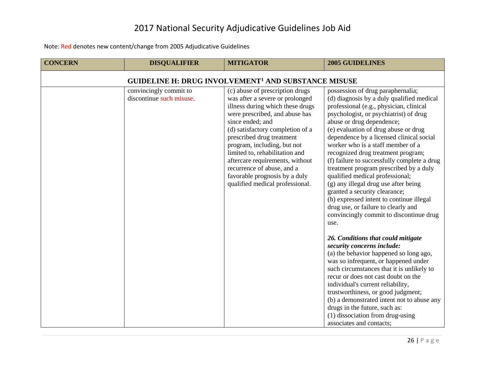| <b>CONCERN</b>                                                        | <b>DISQUALIFIER</b>                                | <b>MITIGATOR</b>                                                                                                                                                                                                                                                                                                                                                                                                                    | <b>2005 GUIDELINES</b>                                                                                                                                                                                                                                                                                                                                                                                                                                                                                                                                                                                                                                                                                                                                                                                                                                                                                                                               |  |
|-----------------------------------------------------------------------|----------------------------------------------------|-------------------------------------------------------------------------------------------------------------------------------------------------------------------------------------------------------------------------------------------------------------------------------------------------------------------------------------------------------------------------------------------------------------------------------------|------------------------------------------------------------------------------------------------------------------------------------------------------------------------------------------------------------------------------------------------------------------------------------------------------------------------------------------------------------------------------------------------------------------------------------------------------------------------------------------------------------------------------------------------------------------------------------------------------------------------------------------------------------------------------------------------------------------------------------------------------------------------------------------------------------------------------------------------------------------------------------------------------------------------------------------------------|--|
| <b>GUIDELINE H: DRUG INVOLVEMENT<sup>1</sup> AND SUBSTANCE MISUSE</b> |                                                    |                                                                                                                                                                                                                                                                                                                                                                                                                                     |                                                                                                                                                                                                                                                                                                                                                                                                                                                                                                                                                                                                                                                                                                                                                                                                                                                                                                                                                      |  |
|                                                                       | convincingly commit to<br>discontinue such misuse. | (c) abuse of prescription drugs<br>was after a severe or prolonged<br>illness during which these drugs<br>were prescribed, and abuse has<br>since ended; and<br>(d) satisfactory completion of a<br>prescribed drug treatment<br>program, including, but not<br>limited to, rehabilitation and<br>aftercare requirements, without<br>recurrence of abuse, and a<br>favorable prognosis by a duly<br>qualified medical professional. | possession of drug paraphernalia;<br>(d) diagnosis by a duly qualified medical<br>professional (e.g., physician, clinical<br>psychologist, or psychiatrist) of drug<br>abuse or drug dependence;<br>(e) evaluation of drug abuse or drug<br>dependence by a licensed clinical social<br>worker who is a staff member of a<br>recognized drug treatment program;<br>(f) failure to successfully complete a drug<br>treatment program prescribed by a duly<br>qualified medical professional;<br>(g) any illegal drug use after being<br>granted a security clearance;<br>(h) expressed intent to continue illegal<br>drug use, or failure to clearly and<br>convincingly commit to discontinue drug<br>use.<br>26. Conditions that could mitigate<br>security concerns include:<br>(a) the behavior happened so long ago,<br>was so infrequent, or happened under<br>such circumstances that it is unlikely to<br>recur or does not cast doubt on the |  |
|                                                                       |                                                    |                                                                                                                                                                                                                                                                                                                                                                                                                                     | individual's current reliability,<br>trustworthiness, or good judgment;<br>(b) a demonstrated intent not to abuse any                                                                                                                                                                                                                                                                                                                                                                                                                                                                                                                                                                                                                                                                                                                                                                                                                                |  |
|                                                                       |                                                    |                                                                                                                                                                                                                                                                                                                                                                                                                                     | drugs in the future, such as:<br>(1) dissociation from drug-using<br>associates and contacts;                                                                                                                                                                                                                                                                                                                                                                                                                                                                                                                                                                                                                                                                                                                                                                                                                                                        |  |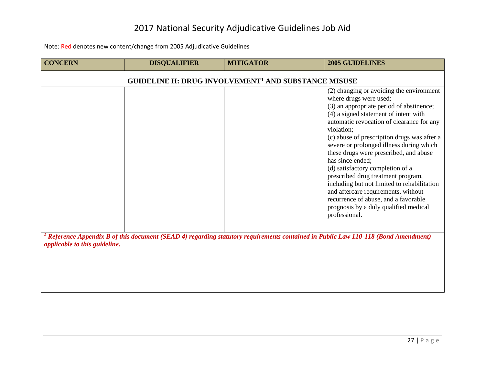| <b>CONCERN</b>                                                                                                                                                                        | <b>DISQUALIFIER</b> | <b>MITIGATOR</b>                                                      | <b>2005 GUIDELINES</b>                                                                                                                                                                                                                                                                                                                                                                                                                                                                                                                                                                                                                        |
|---------------------------------------------------------------------------------------------------------------------------------------------------------------------------------------|---------------------|-----------------------------------------------------------------------|-----------------------------------------------------------------------------------------------------------------------------------------------------------------------------------------------------------------------------------------------------------------------------------------------------------------------------------------------------------------------------------------------------------------------------------------------------------------------------------------------------------------------------------------------------------------------------------------------------------------------------------------------|
|                                                                                                                                                                                       |                     | <b>GUIDELINE H: DRUG INVOLVEMENT<sup>1</sup> AND SUBSTANCE MISUSE</b> |                                                                                                                                                                                                                                                                                                                                                                                                                                                                                                                                                                                                                                               |
|                                                                                                                                                                                       |                     |                                                                       | (2) changing or avoiding the environment<br>where drugs were used;<br>(3) an appropriate period of abstinence;<br>(4) a signed statement of intent with<br>automatic revocation of clearance for any<br>violation;<br>(c) abuse of prescription drugs was after a<br>severe or prolonged illness during which<br>these drugs were prescribed, and abuse<br>has since ended;<br>(d) satisfactory completion of a<br>prescribed drug treatment program,<br>including but not limited to rehabilitation<br>and aftercare requirements, without<br>recurrence of abuse, and a favorable<br>prognosis by a duly qualified medical<br>professional. |
| <sup>1</sup> Reference Appendix B of this document (SEAD 4) regarding statutory requirements contained in Public Law 110-118 (Bond Amendment)<br><i>applicable to this guideline.</i> |                     |                                                                       |                                                                                                                                                                                                                                                                                                                                                                                                                                                                                                                                                                                                                                               |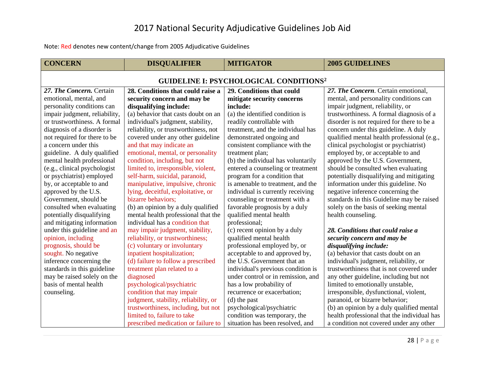<span id="page-28-0"></span>

| <b>CONCERN</b>                                           | <b>DISQUALIFIER</b>                  | <b>MITIGATOR</b>                   | <b>2005 GUIDELINES</b>                      |  |
|----------------------------------------------------------|--------------------------------------|------------------------------------|---------------------------------------------|--|
| <b>GUIDELINE I: PSYCHOLOGICAL CONDITIONS<sup>2</sup></b> |                                      |                                    |                                             |  |
| 27. The Concern. Certain                                 | 28. Conditions that could raise a    | 29. Conditions that could          | 27. The Concern. Certain emotional,         |  |
| emotional, mental, and                                   | security concern and may be          | mitigate security concerns         | mental, and personality conditions can      |  |
| personality conditions can                               | disqualifying include:               | include:                           | impair judgment, reliability, or            |  |
| impair judgment, reliability,                            | (a) behavior that casts doubt on an  | (a) the identified condition is    | trustworthiness. A formal diagnosis of a    |  |
| or trustworthiness. A formal                             | individual's judgment, stability,    | readily controllable with          | disorder is not required for there to be a  |  |
| diagnosis of a disorder is                               | reliability, or trustworthiness, not | treatment, and the individual has  | concern under this guideline. A duly        |  |
| not required for there to be                             | covered under any other guideline    | demonstrated ongoing and           | qualified mental health professional (e.g., |  |
| a concern under this                                     | and that may indicate an             | consistent compliance with the     | clinical psychologist or psychiatrist)      |  |
| guideline. A duly qualified                              | emotional, mental, or personality    | treatment plan;                    | employed by, or acceptable to and           |  |
| mental health professional                               | condition, including, but not        | (b) the individual has voluntarily | approved by the U.S. Government,            |  |
| (e.g., clinical psychologist                             | limited to, irresponsible, violent,  | entered a counseling or treatment  | should be consulted when evaluating         |  |
| or psychiatrist) employed                                | self-harm, suicidal, paranoid,       | program for a condition that       | potentially disqualifying and mitigating    |  |
| by, or acceptable to and                                 | manipulative, impulsive, chronic     | is amenable to treatment, and the  | information under this guideline. No        |  |
| approved by the U.S.                                     | lying, deceitful, exploitative, or   | individual is currently receiving  | negative inference concerning the           |  |
| Government, should be                                    | bizarre behaviors;                   | counseling or treatment with a     | standards in this Guideline may be raised   |  |
| consulted when evaluating                                | (b) an opinion by a duly qualified   | favorable prognosis by a duly      | solely on the basis of seeking mental       |  |
| potentially disqualifying                                | mental health professional that the  | qualified mental health            | health counseling.                          |  |
| and mitigating information                               | individual has a condition that      | professional;                      |                                             |  |
| under this guideline and an                              | may impair judgment, stability,      | (c) recent opinion by a duly       | 28. Conditions that could raise a           |  |
| opinion, including                                       | reliability, or trustworthiness;     | qualified mental health            | security concern and may be                 |  |
| prognosis, should be                                     | (c) voluntary or involuntary         | professional employed by, or       | disqualifying include:                      |  |
| sought. No negative                                      | inpatient hospitalization;           | acceptable to and approved by,     | (a) behavior that casts doubt on an         |  |
| inference concerning the                                 | (d) failure to follow a prescribed   | the U.S. Government that an        | individual's judgment, reliability, or      |  |
| standards in this guideline                              | treatment plan related to a          | individual's previous condition is | trustworthiness that is not covered under   |  |
| may be raised solely on the                              | diagnosed                            | under control or in remission, and | any other guideline, including but not      |  |
| basis of mental health                                   | psychological/psychiatric            | has a low probability of           | limited to emotionally unstable,            |  |
| counseling.                                              | condition that may impair            | recurrence or exacerbation;        | irresponsible, dysfunctional, violent,      |  |
|                                                          | judgment, stability, reliability, or | (d) the past                       | paranoid, or bizarre behavior;              |  |
|                                                          | trustworthiness, including, but not  | psychological/psychiatric          | (b) an opinion by a duly qualified mental   |  |
|                                                          | limited to, failure to take          | condition was temporary, the       | health professional that the individual has |  |
|                                                          | prescribed medication or failure to  | situation has been resolved, and   | a condition not covered under any other     |  |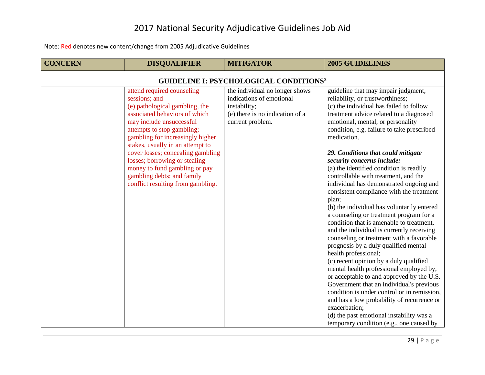| <b>CONCERN</b>                                           | <b>DISQUALIFIER</b>                                                                                                                                                                                                                                                                                                                                                                                                        | <b>MITIGATOR</b>                                                                                                                  | <b>2005 GUIDELINES</b>                                                                                                                                                                                                                                                                                                                                                                                                                                                                                                                                                                                                                                                                                                                                                                                                                                                                                                                                                                                                                                                                                                                                                                                   |  |
|----------------------------------------------------------|----------------------------------------------------------------------------------------------------------------------------------------------------------------------------------------------------------------------------------------------------------------------------------------------------------------------------------------------------------------------------------------------------------------------------|-----------------------------------------------------------------------------------------------------------------------------------|----------------------------------------------------------------------------------------------------------------------------------------------------------------------------------------------------------------------------------------------------------------------------------------------------------------------------------------------------------------------------------------------------------------------------------------------------------------------------------------------------------------------------------------------------------------------------------------------------------------------------------------------------------------------------------------------------------------------------------------------------------------------------------------------------------------------------------------------------------------------------------------------------------------------------------------------------------------------------------------------------------------------------------------------------------------------------------------------------------------------------------------------------------------------------------------------------------|--|
| <b>GUIDELINE I: PSYCHOLOGICAL CONDITIONS<sup>2</sup></b> |                                                                                                                                                                                                                                                                                                                                                                                                                            |                                                                                                                                   |                                                                                                                                                                                                                                                                                                                                                                                                                                                                                                                                                                                                                                                                                                                                                                                                                                                                                                                                                                                                                                                                                                                                                                                                          |  |
|                                                          | attend required counseling<br>sessions; and<br>(e) pathological gambling, the<br>associated behaviors of which<br>may include unsuccessful<br>attempts to stop gambling;<br>gambling for increasingly higher<br>stakes, usually in an attempt to<br>cover losses; concealing gambling<br>losses; borrowing or stealing<br>money to fund gambling or pay<br>gambling debts; and family<br>conflict resulting from gambling. | the individual no longer shows<br>indications of emotional<br>instability;<br>(e) there is no indication of a<br>current problem. | guideline that may impair judgment,<br>reliability, or trustworthiness;<br>(c) the individual has failed to follow<br>treatment advice related to a diagnosed<br>emotional, mental, or personality<br>condition, e.g. failure to take prescribed<br>medication.<br>29. Conditions that could mitigate<br>security concerns include:<br>(a) the identified condition is readily<br>controllable with treatment, and the<br>individual has demonstrated ongoing and<br>consistent compliance with the treatment<br>plan;<br>(b) the individual has voluntarily entered<br>a counseling or treatment program for a<br>condition that is amenable to treatment,<br>and the individual is currently receiving<br>counseling or treatment with a favorable<br>prognosis by a duly qualified mental<br>health professional;<br>(c) recent opinion by a duly qualified<br>mental health professional employed by,<br>or acceptable to and approved by the U.S.<br>Government that an individual's previous<br>condition is under control or in remission,<br>and has a low probability of recurrence or<br>exacerbation;<br>(d) the past emotional instability was a<br>temporary condition (e.g., one caused by |  |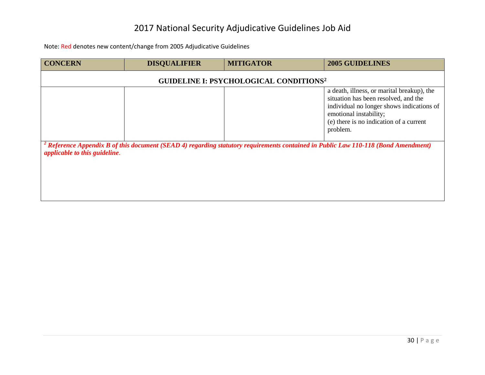| <b>CONCERN</b>                                                                                                                                                                 | <b>DISQUALIFIER</b> | <b>MITIGATOR</b> | 2005 GUIDELINES                                                                                                                                                                                                  |  |
|--------------------------------------------------------------------------------------------------------------------------------------------------------------------------------|---------------------|------------------|------------------------------------------------------------------------------------------------------------------------------------------------------------------------------------------------------------------|--|
| <b>GUIDELINE I: PSYCHOLOGICAL CONDITIONS<sup>2</sup></b>                                                                                                                       |                     |                  |                                                                                                                                                                                                                  |  |
|                                                                                                                                                                                |                     |                  | a death, illness, or marital breakup), the<br>situation has been resolved, and the<br>individual no longer shows indications of<br>emotional instability;<br>(e) there is no indication of a current<br>problem. |  |
| <sup>2</sup> Reference Appendix B of this document (SEAD 4) regarding statutory requirements contained in Public Law 110-118 (Bond Amendment)<br>applicable to this guideline. |                     |                  |                                                                                                                                                                                                                  |  |
|                                                                                                                                                                                |                     |                  |                                                                                                                                                                                                                  |  |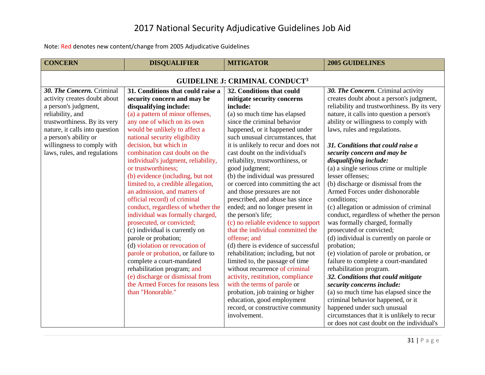<span id="page-31-0"></span>

| <b>CONCERN</b>                                   | <b>DISQUALIFIER</b>                 | <b>MITIGATOR</b>                     | <b>2005 GUIDELINES</b>                       |  |
|--------------------------------------------------|-------------------------------------|--------------------------------------|----------------------------------------------|--|
| <b>GUIDELINE J: CRIMINAL CONDUCT<sup>3</sup></b> |                                     |                                      |                                              |  |
| 30. The Concern. Criminal                        | 31. Conditions that could raise a   | 32. Conditions that could            | 30. The Concern. Criminal activity           |  |
| activity creates doubt about                     | security concern and may be         | mitigate security concerns           | creates doubt about a person's judgment,     |  |
| a person's judgment,                             | disqualifying include:              | include:                             | reliability and trustworthiness. By its very |  |
| reliability, and                                 | (a) a pattern of minor offenses,    | (a) so much time has elapsed         | nature, it calls into question a person's    |  |
| trustworthiness. By its very                     | any one of which on its own         | since the criminal behavior          | ability or willingness to comply with        |  |
| nature, it calls into question                   | would be unlikely to affect a       | happened, or it happened under       | laws, rules and regulations.                 |  |
| a person's ability or                            | national security eligibility       | such unusual circumstances, that     |                                              |  |
| willingness to comply with                       | decision, but which in              | it is unlikely to recur and does not | 31. Conditions that could raise a            |  |
| laws, rules, and regulations                     | combination cast doubt on the       | cast doubt on the individual's       | security concern and may be                  |  |
|                                                  | individual's judgment, reliability, | reliability, trustworthiness, or     | disqualifying include:                       |  |
|                                                  | or trustworthiness;                 | good judgment;                       | (a) a single serious crime or multiple       |  |
|                                                  | (b) evidence (including, but not    | (b) the individual was pressured     | lesser offenses;                             |  |
|                                                  | limited to, a credible allegation,  | or coerced into committing the act   | (b) discharge or dismissal from the          |  |
|                                                  | an admission, and matters of        | and those pressures are not          | Armed Forces under dishonorable              |  |
|                                                  | official record) of criminal        | prescribed, and abuse has since      | conditions;                                  |  |
|                                                  | conduct, regardless of whether the  | ended; and no longer present in      | (c) allegation or admission of criminal      |  |
|                                                  | individual was formally charged,    | the person's life;                   | conduct, regardless of whether the person    |  |
|                                                  | prosecuted, or convicted;           | (c) no reliable evidence to support  | was formally charged, formally               |  |
|                                                  | (c) individual is currently on      | that the individual committed the    | prosecuted or convicted;                     |  |
|                                                  | parole or probation;                | offense; and                         | (d) individual is currently on parole or     |  |
|                                                  | (d) violation or revocation of      | (d) there is evidence of successful  | probation;                                   |  |
|                                                  | parole or probation, or failure to  | rehabilitation; including, but not   | (e) violation of parole or probation, or     |  |
|                                                  | complete a court-mandated           | limited to, the passage of time      | failure to complete a court-mandated         |  |
|                                                  | rehabilitation program; and         | without recurrence of criminal       | rehabilitation program.                      |  |
|                                                  | (e) discharge or dismissal from     | activity, restitution, compliance    | 32. Conditions that could mitigate           |  |
|                                                  | the Armed Forces for reasons less   | with the terms of parole or          | security concerns include:                   |  |
|                                                  | than "Honorable."                   | probation, job training or higher    | (a) so much time has elapsed since the       |  |
|                                                  |                                     | education, good employment           | criminal behavior happened, or it            |  |
|                                                  |                                     | record, or constructive community    | happened under such unusual                  |  |
|                                                  |                                     | involvement.                         | circumstances that it is unlikely to recur   |  |
|                                                  |                                     |                                      | or does not cast doubt on the individual's   |  |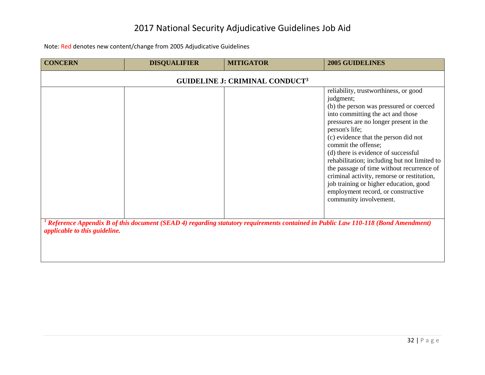| <b>CONCERN</b>                | <b>DISQUALIFIER</b>                                                                                                                           | <b>MITIGATOR</b>                      | <b>2005 GUIDELINES</b>                                                                                                                                                                                                                                                                                                                                                                                                                                                                                                                                    |  |
|-------------------------------|-----------------------------------------------------------------------------------------------------------------------------------------------|---------------------------------------|-----------------------------------------------------------------------------------------------------------------------------------------------------------------------------------------------------------------------------------------------------------------------------------------------------------------------------------------------------------------------------------------------------------------------------------------------------------------------------------------------------------------------------------------------------------|--|
|                               |                                                                                                                                               | <b>GUIDELINE J: CRIMINAL CONDUCT3</b> |                                                                                                                                                                                                                                                                                                                                                                                                                                                                                                                                                           |  |
|                               |                                                                                                                                               |                                       | reliability, trustworthiness, or good<br>judgment;<br>(b) the person was pressured or coerced<br>into committing the act and those<br>pressures are no longer present in the<br>person's life;<br>(c) evidence that the person did not<br>commit the offense;<br>(d) there is evidence of successful<br>rehabilitation; including but not limited to<br>the passage of time without recurrence of<br>criminal activity, remorse or restitution,<br>job training or higher education, good<br>employment record, or constructive<br>community involvement. |  |
| applicable to this guideline. | <sup>3</sup> Reference Appendix B of this document (SEAD 4) regarding statutory requirements contained in Public Law 110-118 (Bond Amendment) |                                       |                                                                                                                                                                                                                                                                                                                                                                                                                                                                                                                                                           |  |
|                               |                                                                                                                                               |                                       |                                                                                                                                                                                                                                                                                                                                                                                                                                                                                                                                                           |  |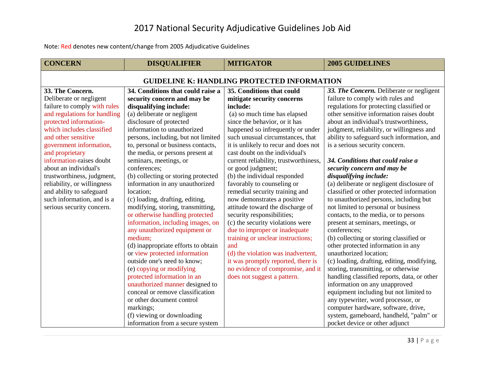<span id="page-33-0"></span>

| <b>CONCERN</b>                                     | <b>DISQUALIFIER</b>                 | <b>MITIGATOR</b>                      | <b>2005 GUIDELINES</b>                      |  |
|----------------------------------------------------|-------------------------------------|---------------------------------------|---------------------------------------------|--|
| <b>GUIDELINE K: HANDLING PROTECTED INFORMATION</b> |                                     |                                       |                                             |  |
| 33. The Concern.                                   | 34. Conditions that could raise a   | 35. Conditions that could             | 33. The Concern. Deliberate or negligent    |  |
| Deliberate or negligent                            | security concern and may be         | mitigate security concerns            | failure to comply with rules and            |  |
| failure to comply with rules                       | disqualifying include:              | include:                              | regulations for protecting classified or    |  |
| and regulations for handling                       | (a) deliberate or negligent         | (a) so much time has elapsed          | other sensitive information raises doubt    |  |
| protected information-                             | disclosure of protected             | since the behavior, or it has         | about an individual's trustworthiness,      |  |
| which includes classified                          | information to unauthorized         | happened so infrequently or under     | judgment, reliability, or willingness and   |  |
| and other sensitive                                | persons, including, but not limited | such unusual circumstances, that      | ability to safeguard such information, and  |  |
| government information,                            | to, personal or business contacts,  | it is unlikely to recur and does not  | is a serious security concern.              |  |
| and proprietary                                    | the media, or persons present at    | cast doubt on the individual's        |                                             |  |
| information-raises doubt                           | seminars, meetings, or              | current reliability, trustworthiness, | 34. Conditions that could raise a           |  |
| about an individual's                              | conferences;                        | or good judgment;                     | security concern and may be                 |  |
| trustworthiness, judgment,                         | (b) collecting or storing protected | (b) the individual responded          | disqualifying include:                      |  |
| reliability, or willingness                        | information in any unauthorized     | favorably to counseling or            | (a) deliberate or negligent disclosure of   |  |
| and ability to safeguard                           | location;                           | remedial security training and        | classified or other protected information   |  |
| such information, and is a                         | (c) loading, drafting, editing,     | now demonstrates a positive           | to unauthorized persons, including but      |  |
| serious security concern.                          | modifying, storing, transmitting,   | attitude toward the discharge of      | not limited to personal or business         |  |
|                                                    | or otherwise handling protected     | security responsibilities;            | contacts, to the media, or to persons       |  |
|                                                    | information, including images, on   | (c) the security violations were      | present at seminars, meetings, or           |  |
|                                                    | any unauthorized equipment or       | due to improper or inadequate         | conferences;                                |  |
|                                                    | medium;                             | training or unclear instructions;     | (b) collecting or storing classified or     |  |
|                                                    | (d) inappropriate efforts to obtain | and                                   | other protected information in any          |  |
|                                                    | or view protected information       | (d) the violation was inadvertent,    | unauthorized location;                      |  |
|                                                    | outside one's need to know;         | it was promptly reported, there is    | (c) loading, drafting, editing, modifying,  |  |
|                                                    | (e) copying or modifying            | no evidence of compromise, and it     | storing, transmitting, or otherwise         |  |
|                                                    | protected information in an         | does not suggest a pattern.           | handling classified reports, data, or other |  |
|                                                    | unauthorized manner designed to     |                                       | information on any unapproved               |  |
|                                                    | conceal or remove classification    |                                       | equipment including but not limited to      |  |
|                                                    | or other document control           |                                       | any typewriter, word processor, or          |  |
|                                                    | markings;                           |                                       | computer hardware, software, drive,         |  |
|                                                    | (f) viewing or downloading          |                                       | system, gameboard, handheld, "palm" or      |  |
|                                                    | information from a secure system    |                                       | pocket device or other adjunct              |  |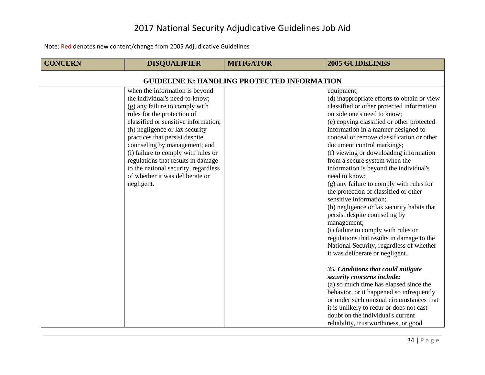| <b>CONCERN</b>                                     | <b>DISQUALIFIER</b>                                                                                                                                                                                                                                                                                                                                                                                                                                  | <b>MITIGATOR</b> | <b>2005 GUIDELINES</b>                                                                                                                                                                                                                                                                                                                                                                                                                                                                                                                                                                                                                                                                                                                                                                                                                                                                                                                                                                                                                                                                                                                                     |  |
|----------------------------------------------------|------------------------------------------------------------------------------------------------------------------------------------------------------------------------------------------------------------------------------------------------------------------------------------------------------------------------------------------------------------------------------------------------------------------------------------------------------|------------------|------------------------------------------------------------------------------------------------------------------------------------------------------------------------------------------------------------------------------------------------------------------------------------------------------------------------------------------------------------------------------------------------------------------------------------------------------------------------------------------------------------------------------------------------------------------------------------------------------------------------------------------------------------------------------------------------------------------------------------------------------------------------------------------------------------------------------------------------------------------------------------------------------------------------------------------------------------------------------------------------------------------------------------------------------------------------------------------------------------------------------------------------------------|--|
| <b>GUIDELINE K: HANDLING PROTECTED INFORMATION</b> |                                                                                                                                                                                                                                                                                                                                                                                                                                                      |                  |                                                                                                                                                                                                                                                                                                                                                                                                                                                                                                                                                                                                                                                                                                                                                                                                                                                                                                                                                                                                                                                                                                                                                            |  |
|                                                    | when the information is beyond<br>the individual's need-to-know;<br>(g) any failure to comply with<br>rules for the protection of<br>classified or sensitive information;<br>(h) negligence or lax security<br>practices that persist despite<br>counseling by management; and<br>(i) failure to comply with rules or<br>regulations that results in damage<br>to the national security, regardless<br>of whether it was deliberate or<br>negligent. |                  | equipment;<br>(d) inappropriate efforts to obtain or view<br>classified or other protected information<br>outside one's need to know;<br>(e) copying classified or other protected<br>information in a manner designed to<br>conceal or remove classification or other<br>document control markings;<br>(f) viewing or downloading information<br>from a secure system when the<br>information is beyond the individual's<br>need to know;<br>(g) any failure to comply with rules for<br>the protection of classified or other<br>sensitive information;<br>(h) negligence or lax security habits that<br>persist despite counseling by<br>management;<br>(i) failure to comply with rules or<br>regulations that results in damage to the<br>National Security, regardless of whether<br>it was deliberate or negligent.<br>35. Conditions that could mitigate<br>security concerns include:<br>(a) so much time has elapsed since the<br>behavior, or it happened so infrequently<br>or under such unusual circumstances that<br>it is unlikely to recur or does not cast<br>doubt on the individual's current<br>reliability, trustworthiness, or good |  |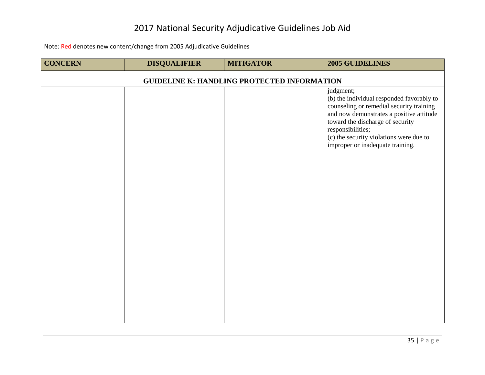| <b>CONCERN</b>                                     | <b>DISQUALIFIER</b> | <b>MITIGATOR</b> | 2005 GUIDELINES                                                                                                                                                                                                                                                                        |
|----------------------------------------------------|---------------------|------------------|----------------------------------------------------------------------------------------------------------------------------------------------------------------------------------------------------------------------------------------------------------------------------------------|
| <b>GUIDELINE K: HANDLING PROTECTED INFORMATION</b> |                     |                  |                                                                                                                                                                                                                                                                                        |
|                                                    |                     |                  | judgment;<br>(b) the individual responded favorably to<br>counseling or remedial security training<br>and now demonstrates a positive attitude<br>toward the discharge of security<br>responsibilities;<br>(c) the security violations were due to<br>improper or inadequate training. |
|                                                    |                     |                  |                                                                                                                                                                                                                                                                                        |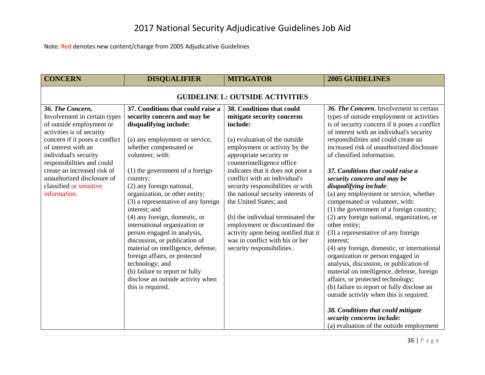<span id="page-36-0"></span>

| <b>CONCERN</b>                                                                                                                                                                                                                                                                                                                    | <b>DISQUALIFIER</b>                                                                                                                                                                                                                                                                                                                                                                                                                                                                                                                                                                                                                                                        | <b>MITIGATOR</b>                                                                                                                                                                                                                                                                                                                                                                                                                                                                                                                                          | <b>2005 GUIDELINES</b>                                                                                                                                                                                                                                                                                                                                                                                                                                                                                                                                                                                                                                                                                                                                                                                                                                                                                                                                                                                                                                                       |  |  |
|-----------------------------------------------------------------------------------------------------------------------------------------------------------------------------------------------------------------------------------------------------------------------------------------------------------------------------------|----------------------------------------------------------------------------------------------------------------------------------------------------------------------------------------------------------------------------------------------------------------------------------------------------------------------------------------------------------------------------------------------------------------------------------------------------------------------------------------------------------------------------------------------------------------------------------------------------------------------------------------------------------------------------|-----------------------------------------------------------------------------------------------------------------------------------------------------------------------------------------------------------------------------------------------------------------------------------------------------------------------------------------------------------------------------------------------------------------------------------------------------------------------------------------------------------------------------------------------------------|------------------------------------------------------------------------------------------------------------------------------------------------------------------------------------------------------------------------------------------------------------------------------------------------------------------------------------------------------------------------------------------------------------------------------------------------------------------------------------------------------------------------------------------------------------------------------------------------------------------------------------------------------------------------------------------------------------------------------------------------------------------------------------------------------------------------------------------------------------------------------------------------------------------------------------------------------------------------------------------------------------------------------------------------------------------------------|--|--|
| <b>GUIDELINE L: OUTSIDE ACTIVITIES</b>                                                                                                                                                                                                                                                                                            |                                                                                                                                                                                                                                                                                                                                                                                                                                                                                                                                                                                                                                                                            |                                                                                                                                                                                                                                                                                                                                                                                                                                                                                                                                                           |                                                                                                                                                                                                                                                                                                                                                                                                                                                                                                                                                                                                                                                                                                                                                                                                                                                                                                                                                                                                                                                                              |  |  |
| 36. The Concern.<br>Involvement in certain types<br>of outside employment or<br>activities is of security<br>concern if it poses a conflict<br>of interest with an<br>individual's security<br>responsibilities and could<br>create an increased risk of<br>unauthorized disclosure of<br>classified or sensitive<br>information. | 37. Conditions that could raise a<br>security concern and may be<br>disqualifying include:<br>(a) any employment or service,<br>whether compensated or<br>volunteer, with:<br>$(1)$ the government of a foreign<br>country;<br>(2) any foreign national,<br>organization, or other entity;<br>(3) a representative of any foreign<br>interest; and<br>(4) any foreign, domestic, or<br>international organization or<br>person engaged in analysis,<br>discussion, or publication of<br>material on intelligence, defense,<br>foreign affairs, or protected<br>technology; and<br>(b) failure to report or fully<br>disclose an outside activity when<br>this is required. | 38. Conditions that could<br>mitigate security concerns<br>include:<br>(a) evaluation of the outside<br>employment or activity by the<br>appropriate security or<br>counterintelligence office<br>indicates that it does not pose a<br>conflict with an individual's<br>security responsibilities or with<br>the national security interests of<br>the United States; and<br>(b) the individual terminated the<br>employment or discontinued the<br>activity upon being notified that it<br>was in conflict with his or her<br>security responsibilities. | 36. The Concern. Involvement in certain<br>types of outside employment or activities<br>is of security concern if it poses a conflict<br>of interest with an individual's security<br>responsibilities and could create an<br>increased risk of unauthorized disclosure<br>of classified information.<br>37. Conditions that could raise a<br>security concern and may be<br>disqualifying include:<br>(a) any employment or service, whether<br>compensated or volunteer, with:<br>$(1)$ the government of a foreign country;<br>(2) any foreign national, organization, or<br>other entity;<br>(3) a representative of any foreign<br>interest;<br>(4) any foreign, domestic, or international<br>organization or person engaged in<br>analysis, discussion, or publication of<br>material on intelligence, defense, foreign<br>affairs, or protected technology;<br>(b) failure to report or fully disclose an<br>outside activity when this is required.<br>38. Conditions that could mitigate<br>security concerns include:<br>(a) evaluation of the outside employment |  |  |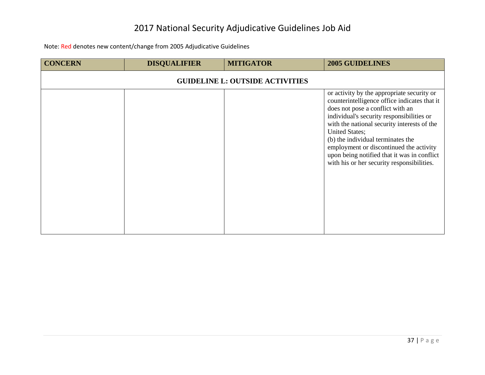| <b>CONCERN</b>                         | <b>DISQUALIFIER</b> | <b>MITIGATOR</b> | <b>2005 GUIDELINES</b>                                                                                                                                                                                                                                                                                                                                                                                                    |  |  |  |
|----------------------------------------|---------------------|------------------|---------------------------------------------------------------------------------------------------------------------------------------------------------------------------------------------------------------------------------------------------------------------------------------------------------------------------------------------------------------------------------------------------------------------------|--|--|--|
| <b>GUIDELINE L: OUTSIDE ACTIVITIES</b> |                     |                  |                                                                                                                                                                                                                                                                                                                                                                                                                           |  |  |  |
|                                        |                     |                  | or activity by the appropriate security or<br>counterintelligence office indicates that it<br>does not pose a conflict with an<br>individual's security responsibilities or<br>with the national security interests of the<br>United States;<br>(b) the individual terminates the<br>employment or discontinued the activity<br>upon being notified that it was in conflict<br>with his or her security responsibilities. |  |  |  |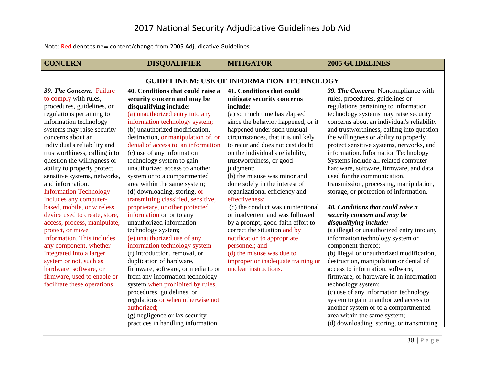<span id="page-38-0"></span>

| <b>CONCERN</b>                                    | <b>DISQUALIFIER</b>                 | <b>MITIGATOR</b>                   | <b>2005 GUIDELINES</b>                     |  |
|---------------------------------------------------|-------------------------------------|------------------------------------|--------------------------------------------|--|
| <b>GUIDELINE M: USE OF INFORMATION TECHNOLOGY</b> |                                     |                                    |                                            |  |
| 39. The Concern. Failure                          | 40. Conditions that could raise a   | 41. Conditions that could          | 39. The Concern. Noncompliance with        |  |
| to comply with rules,                             | security concern and may be         | mitigate security concerns         | rules, procedures, guidelines or           |  |
| procedures, guidelines, or                        | disqualifying include:              | include:                           | regulations pertaining to information      |  |
| regulations pertaining to                         | (a) unauthorized entry into any     | (a) so much time has elapsed       | technology systems may raise security      |  |
| information technology                            | information technology system;      | since the behavior happened, or it | concerns about an individual's reliability |  |
| systems may raise security                        | (b) unauthorized modification,      | happened under such unusual        | and trustworthiness, calling into question |  |
| concerns about an                                 | destruction, or manipulation of, or | circumstances, that it is unlikely | the willingness or ability to properly     |  |
| individual's reliability and                      | denial of access to, an information | to recur and does not cast doubt   | protect sensitive systems, networks, and   |  |
| trustworthiness, calling into                     | (c) use of any information          | on the individual's reliability,   | information. Information Technology        |  |
| question the willingness or                       | technology system to gain           | trustworthiness, or good           | Systems include all related computer       |  |
| ability to properly protect                       | unauthorized access to another      | judgment;                          | hardware, software, firmware, and data     |  |
| sensitive systems, networks,                      | system or to a compartmented        | (b) the misuse was minor and       | used for the communication,                |  |
| and information.                                  | area within the same system;        | done solely in the interest of     | transmission, processing, manipulation,    |  |
| <b>Information Technology</b>                     | (d) downloading, storing, or        | organizational efficiency and      | storage, or protection of information.     |  |
| includes any computer-                            | transmitting classified, sensitive, | effectiveness;                     |                                            |  |
| based, mobile, or wireless                        | proprietary, or other protected     | (c) the conduct was unintentional  | 40. Conditions that could raise a          |  |
| device used to create, store,                     | information on or to any            | or inadvertent and was followed    | security concern and may be                |  |
| access, process, manipulate,                      | unauthorized information            | by a prompt, good-faith effort to  | disqualifying include:                     |  |
| protect, or move                                  | technology system;                  | correct the situation and by       | (a) illegal or unauthorized entry into any |  |
| information. This includes                        | (e) unauthorized use of any         | notification to appropriate        | information technology system or           |  |
| any component, whether                            | information technology system       | personnel; and                     | component thereof;                         |  |
| integrated into a larger                          | (f) introduction, removal, or       | (d) the misuse was due to          | (b) illegal or unauthorized modification,  |  |
| system or not, such as                            | duplication of hardware,            | improper or inadequate training or | destruction, manipulation or denial of     |  |
| hardware, software, or                            | firmware, software, or media to or  | unclear instructions.              | access to information, software,           |  |
| firmware, used to enable or                       | from any information technology     |                                    | firmware, or hardware in an information    |  |
| facilitate these operations                       | system when prohibited by rules,    |                                    | technology system;                         |  |
|                                                   | procedures, guidelines, or          |                                    | (c) use of any information technology      |  |
|                                                   | regulations or when otherwise not   |                                    | system to gain unauthorized access to      |  |
|                                                   | authorized;                         |                                    | another system or to a compartmented       |  |
|                                                   | (g) negligence or lax security      |                                    | area within the same system;               |  |
|                                                   | practices in handling information   |                                    | (d) downloading, storing, or transmitting  |  |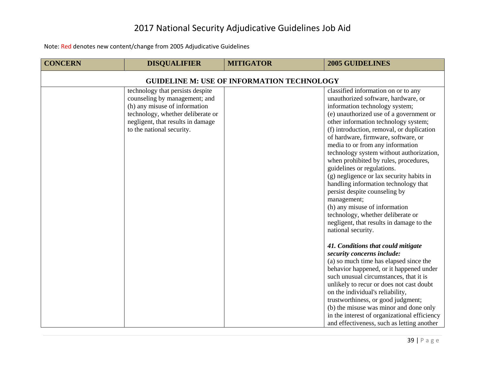| <b>CONCERN</b>                                    | <b>DISQUALIFIER</b>                                                                                                                                                                                       | <b>MITIGATOR</b> | <b>2005 GUIDELINES</b>                                                                                                                                                                                                                                                                                                                                                                                                                                                                                                                                                                                                                                                                                                                                                                                                                                                                                                                                                                                                                                                                                                                                                                  |  |  |  |
|---------------------------------------------------|-----------------------------------------------------------------------------------------------------------------------------------------------------------------------------------------------------------|------------------|-----------------------------------------------------------------------------------------------------------------------------------------------------------------------------------------------------------------------------------------------------------------------------------------------------------------------------------------------------------------------------------------------------------------------------------------------------------------------------------------------------------------------------------------------------------------------------------------------------------------------------------------------------------------------------------------------------------------------------------------------------------------------------------------------------------------------------------------------------------------------------------------------------------------------------------------------------------------------------------------------------------------------------------------------------------------------------------------------------------------------------------------------------------------------------------------|--|--|--|
| <b>GUIDELINE M: USE OF INFORMATION TECHNOLOGY</b> |                                                                                                                                                                                                           |                  |                                                                                                                                                                                                                                                                                                                                                                                                                                                                                                                                                                                                                                                                                                                                                                                                                                                                                                                                                                                                                                                                                                                                                                                         |  |  |  |
|                                                   | technology that persists despite<br>counseling by management; and<br>(h) any misuse of information<br>technology, whether deliberate or<br>negligent, that results in damage<br>to the national security. |                  | classified information on or to any<br>unauthorized software, hardware, or<br>information technology system;<br>(e) unauthorized use of a government or<br>other information technology system;<br>(f) introduction, removal, or duplication<br>of hardware, firmware, software, or<br>media to or from any information<br>technology system without authorization,<br>when prohibited by rules, procedures,<br>guidelines or regulations.<br>(g) negligence or lax security habits in<br>handling information technology that<br>persist despite counseling by<br>management;<br>(h) any misuse of information<br>technology, whether deliberate or<br>negligent, that results in damage to the<br>national security.<br>41. Conditions that could mitigate<br>security concerns include:<br>(a) so much time has elapsed since the<br>behavior happened, or it happened under<br>such unusual circumstances, that it is<br>unlikely to recur or does not cast doubt<br>on the individual's reliability,<br>trustworthiness, or good judgment;<br>(b) the misuse was minor and done only<br>in the interest of organizational efficiency<br>and effectiveness, such as letting another |  |  |  |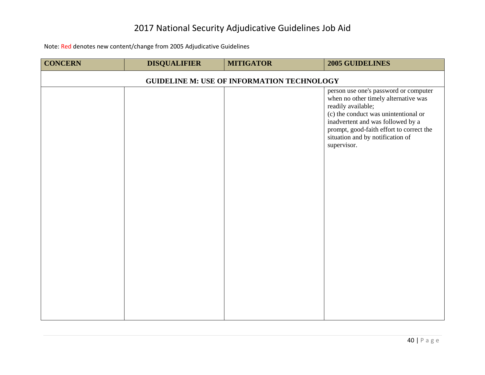| <b>CONCERN</b>                                    | <b>DISQUALIFIER</b> | <b>MITIGATOR</b> | 2005 GUIDELINES                                                                                                                                                                                                                                                                 |  |  |
|---------------------------------------------------|---------------------|------------------|---------------------------------------------------------------------------------------------------------------------------------------------------------------------------------------------------------------------------------------------------------------------------------|--|--|
| <b>GUIDELINE M: USE OF INFORMATION TECHNOLOGY</b> |                     |                  |                                                                                                                                                                                                                                                                                 |  |  |
|                                                   |                     |                  | person use one's password or computer<br>when no other timely alternative was<br>readily available;<br>(c) the conduct was unintentional or<br>inadvertent and was followed by a<br>prompt, good-faith effort to correct the<br>situation and by notification of<br>supervisor. |  |  |
|                                                   |                     |                  |                                                                                                                                                                                                                                                                                 |  |  |
|                                                   |                     |                  |                                                                                                                                                                                                                                                                                 |  |  |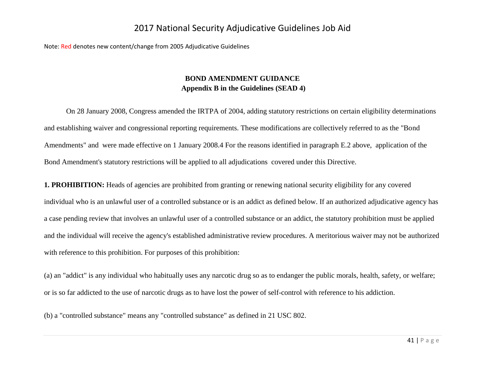<span id="page-41-0"></span>Note: Red denotes new content/change from 2005 Adjudicative Guidelines

#### **BOND AMENDMENT GUIDANCE Appendix B in the Guidelines (SEAD 4)**

On 28 January 2008, Congress amended the IRTPA of 2004, adding statutory restrictions on certain eligibility determinations and establishing waiver and congressional reporting requirements. These modifications are collectively referred to as the "Bond Amendments" and were made effective on 1 January 2008.4 For the reasons identified in paragraph E.2 above, application of the Bond Amendment's statutory restrictions will be applied to all adjudications covered under this Directive.

**1. PROHIBITION:** Heads of agencies are prohibited from granting or renewing national security eligibility for any covered individual who is an unlawful user of a controlled substance or is an addict as defined below. If an authorized adjudicative agency has a case pending review that involves an unlawful user of a controlled substance or an addict, the statutory prohibition must be applied and the individual will receive the agency's established administrative review procedures. A meritorious waiver may not be authorized with reference to this prohibition. For purposes of this prohibition:

(a) an "addict" is any individual who habitually uses any narcotic drug so as to endanger the public morals, health, safety, or welfare; or is so far addicted to the use of narcotic drugs as to have lost the power of self-control with reference to his addiction.

(b) a "controlled substance" means any "controlled substance" as defined in 21 USC 802.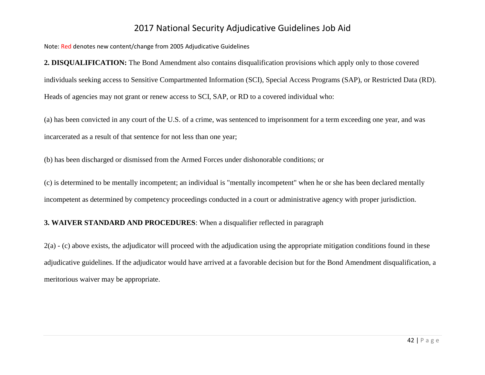Note: Red denotes new content/change from 2005 Adjudicative Guidelines

**2. DISQUALIFICATION:** The Bond Amendment also contains disqualification provisions which apply only to those covered individuals seeking access to Sensitive Compartmented Information (SCI), Special Access Programs (SAP), or Restricted Data (RD). Heads of agencies may not grant or renew access to SCI, SAP, or RD to a covered individual who:

(a) has been convicted in any court of the U.S. of a crime, was sentenced to imprisonment for a term exceeding one year, and was incarcerated as a result of that sentence for not less than one year;

(b) has been discharged or dismissed from the Armed Forces under dishonorable conditions; or

(c) is determined to be mentally incompetent; an individual is "mentally incompetent" when he or she has been declared mentally incompetent as determined by competency proceedings conducted in a court or administrative agency with proper jurisdiction.

#### **3. WAIVER STANDARD AND PROCEDURES**: When a disqualifier reflected in paragraph

 $2(a)$  - (c) above exists, the adjudicator will proceed with the adjudication using the appropriate mitigation conditions found in these adjudicative guidelines. If the adjudicator would have arrived at a favorable decision but for the Bond Amendment disqualification, a meritorious waiver may be appropriate.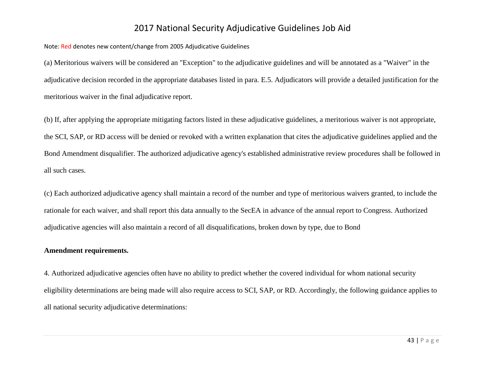Note: Red denotes new content/change from 2005 Adjudicative Guidelines

(a) Meritorious waivers will be considered an "Exception" to the adjudicative guidelines and will be annotated as a "Waiver" in the adjudicative decision recorded in the appropriate databases listed in para. E.5. Adjudicators will provide a detailed justification for the meritorious waiver in the final adjudicative report.

(b) If, after applying the appropriate mitigating factors listed in these adjudicative guidelines, a meritorious waiver is not appropriate, the SCI, SAP, or RD access will be denied or revoked with a written explanation that cites the adjudicative guidelines applied and the Bond Amendment disqualifier. The authorized adjudicative agency's established administrative review procedures shall be followed in all such cases.

(c) Each authorized adjudicative agency shall maintain a record of the number and type of meritorious waivers granted, to include the rationale for each waiver, and shall report this data annually to the SecEA in advance of the annual report to Congress. Authorized adjudicative agencies will also maintain a record of all disqualifications, broken down by type, due to Bond

#### **Amendment requirements.**

4. Authorized adjudicative agencies often have no ability to predict whether the covered individual for whom national security eligibility determinations are being made will also require access to SCI, SAP, or RD. Accordingly, the following guidance applies to all national security adjudicative determinations: